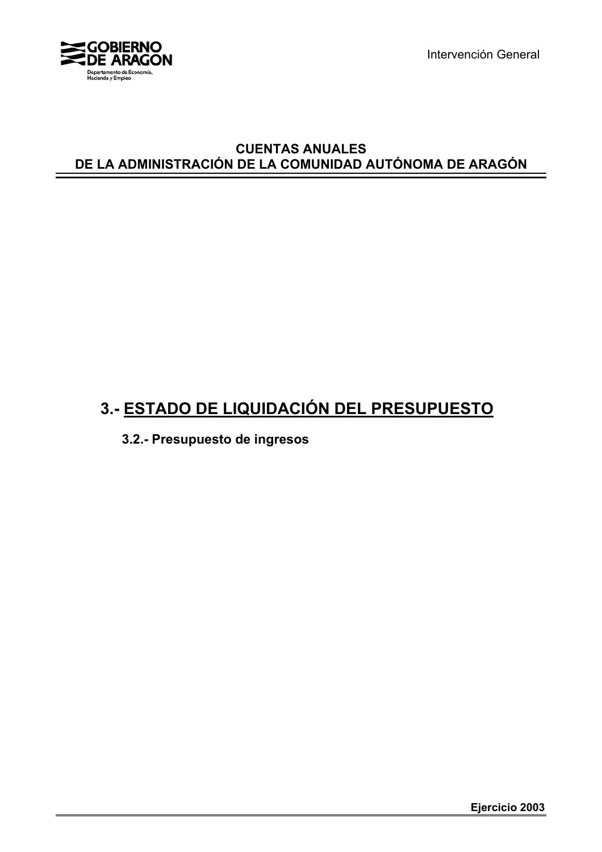

Intervención General

#### **CUENTAS ANUALES DE LA ADMINISTRACIÓN DE LA COMUNIDAD AUTÓNOMA DE ARAGÓN**

# **3.- ESTADO DE LIQUIDACIÓN DEL PRESUPUESTO**

**3.2.- Presupuesto de ingresos**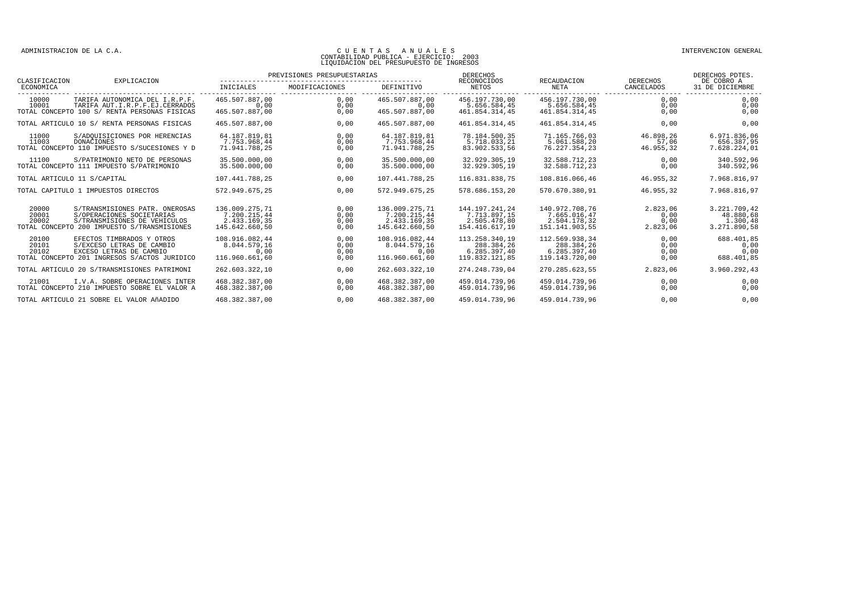| CLASIFICACION           | EXPLICACION                                                                                                                                |                                                                  | PREVISIONES PRESUPUESTARIAS              |                                                                  | <b>DERECHOS</b><br>RECONOCIDOS<br>RECAUDACION                    |                                                                  | <b>DERECHOS</b>                      | DERECHOS PDTES.<br>DE COBRO A                         |
|-------------------------|--------------------------------------------------------------------------------------------------------------------------------------------|------------------------------------------------------------------|------------------------------------------|------------------------------------------------------------------|------------------------------------------------------------------|------------------------------------------------------------------|--------------------------------------|-------------------------------------------------------|
| ECONOMICA               |                                                                                                                                            | INICIALES                                                        | MODIFICACIONES<br>______________________ | <b>DEFINITIVO</b>                                                | <b>NETOS</b>                                                     | <b>NETA</b>                                                      | CANCELADOS<br>--------               | 31 DE DICIEMBRE                                       |
| 10000<br>10001          | TARIFA AUTONOMICA DEL I.R.P.F.<br>TARIFA AUT.I.R.P.F.EJ.CERRADOS<br>TOTAL CONCEPTO 100 S/ RENTA PERSONAS FISICAS                           | 465.507.887.00<br>0.00<br>465.507.887,00                         | 0.00<br>0,00<br>0,00                     | 465.507.887,00<br>0.00<br>465.507.887,00                         | 456.197.730.00<br>5.656.584.45<br>461.854.314,45                 | 456.197.730.00<br>5.656.584,45<br>461.854.314,45                 | 0,00<br>0,00<br>0,00                 | 0,00<br>0,00<br>0,00                                  |
|                         | TOTAL ARTICULO 10 S/ RENTA PERSONAS FISICAS                                                                                                | 465.507.887.00                                                   | 0.00                                     | 465.507.887.00                                                   | 461.854.314.45                                                   | 461.854.314.45                                                   | 0.00                                 | 0,00                                                  |
| 11000<br>11003          | S/ADOUISICIONES POR HERENCIAS<br>DONACIONES<br>TOTAL CONCEPTO 110 IMPUESTO S/SUCESIONES Y D                                                | 64.187.819,81<br>7.753.968.44<br>71.941.788,25                   | 0.00<br>0.00<br>0,00                     | 64.187.819,81<br>7.753.968.44<br>71.941.788,25                   | 78.184.500,35<br>5.718.033.21<br>83.902.533,56                   | 71.165.766.03<br>5.061.588.20<br>76.227.354,23                   | 46.898,26<br>57.06<br>46.955,32      | 6.971.836,06<br>656.387.95<br>7.628.224,01            |
| 11100                   | S/PATRIMONIO NETO DE PERSONAS<br>TOTAL CONCEPTO 111 IMPUESTO S/PATRIMONIO                                                                  | 35.500.000,00<br>35.500.000,00                                   | 0.00<br>0.00                             | 35.500.000,00<br>35.500.000,00                                   | 32.929.305,19<br>32.929.305,19                                   | 32.588.712,23<br>32.588.712,23                                   | 0,00<br>0,00                         | 340.592,96<br>340.592,96                              |
|                         | TOTAL ARTICULO 11 S/CAPITAL                                                                                                                | 107.441.788.25                                                   | 0,00                                     | 107.441.788.25                                                   | 116.831.838.75                                                   | 108.816.066,46                                                   | 46.955.32                            | 7.968.816,97                                          |
|                         | TOTAL CAPITULO 1 IMPUESTOS DIRECTOS                                                                                                        | 572.949.675.25                                                   | 0.00                                     | 572.949.675.25                                                   | 578.686.153.20                                                   | 570.670.380.91                                                   | 46.955.32                            | 7.968.816.97                                          |
| 20000<br>20001<br>20002 | S/TRANSMISIONES PATR. ONEROSAS<br>S/OPERACIONES SOCIETARIAS<br>S/TRANSMISIONES DE VEHICULOS<br>TOTAL CONCEPTO 200 IMPUESTO S/TRANSMISIONES | 136.009.275,71<br>7.200.215.44<br>2.433.169.35<br>145.642.660,50 | 0.00<br>0.00<br>0.00<br>0.00             | 136.009.275,71<br>7.200.215.44<br>2.433.169,35<br>145.642.660,50 | 144.197.241.24<br>7.713.897.15<br>2.505.478,80<br>154.416.617,19 | 140.972.708,76<br>7.665.016.47<br>2.504.178,32<br>151.141.903,55 | 2.823.06<br>0.00<br>0.00<br>2.823,06 | 3.221.709,42<br>48.880.68<br>1,300,48<br>3.271.890,58 |
| 20100<br>20101<br>20102 | EFECTOS TIMBRADOS Y OTROS<br>S/EXCESO LETRAS DE CAMBIO<br>EXCESO LETRAS DE CAMBIO<br>TOTAL CONCEPTO 201 INGRESOS S/ACTOS JURIDICO          | 108.916.082,44<br>8.044.579,16<br>0.00<br>116.960.661.60         | 0,00<br>0,00<br>0,00<br>0.00             | 108.916.082,44<br>8.044.579,16<br>0,00<br>116.960.661.60         | 113.258.340,19<br>288.384,26<br>6.285.397.40<br>119.832.121.85   | 112.569.938,34<br>288.384,26<br>6.285.397,40<br>119.143.720,00   | 0,00<br>0,00<br>0,00<br>0,00         | 688.401,85<br>0,00<br>0,00<br>688.401,85              |
|                         | TOTAL ARTICULO 20 S/TRANSMISIONES PATRIMONI                                                                                                | 262.603.322,10                                                   | 0,00                                     | 262.603.322,10                                                   | 274.248.739,04                                                   | 270.285.623.55                                                   | 2.823,06                             | 3.960.292,43                                          |
| 21001                   | I.V.A. SOBRE OPERACIONES INTER<br>TOTAL CONCEPTO 210 IMPUESTO SOBRE EL VALOR A                                                             | 468.382.387.00<br>468.382.387,00                                 | 0.00<br>0,00                             | 468.382.387.00<br>468.382.387,00                                 | 459.014.739.96<br>459.014.739,96                                 | 459.014.739.96<br>459.014.739,96                                 | 0.00<br>0,00                         | 0,00<br>0,00                                          |
|                         | TOTAL ARTICULO 21 SOBRE EL VALOR AÑADIDO                                                                                                   | 468.382.387.00                                                   | 0.00                                     | 468.382.387.00                                                   | 459.014.739.96                                                   | 459.014.739.96                                                   | 0.00                                 | 0,00                                                  |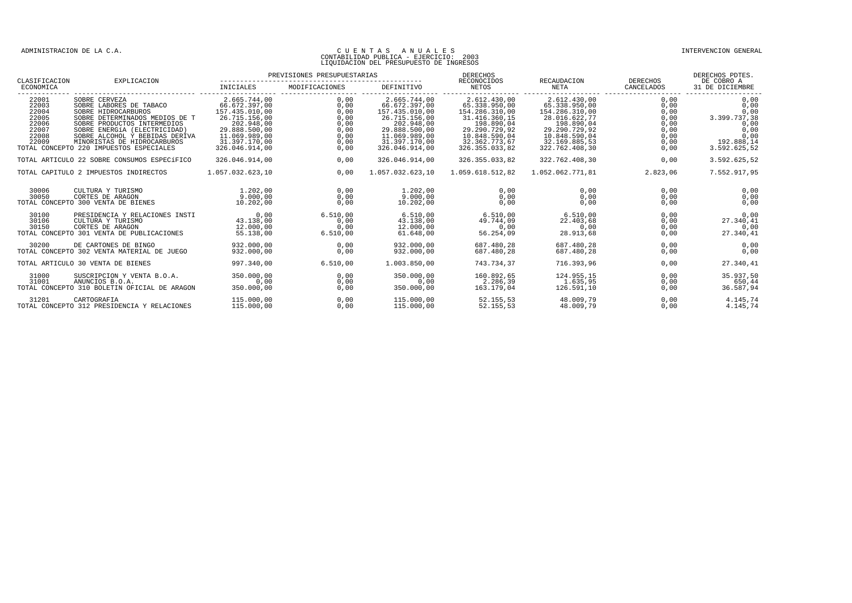| CLASIFICACION                                                        | EXPLICACION                                                                                                                                                                                                                                                                  |                                                                                                                                                     | PREVISIONES PRESUPUESTARIAS                                          |                                                                                                                                                     | DERECHOS<br>RECONOCIDOS                                                                                                                             | RECAUDACION                                                                                                                                         | DERECHOS                                                             | DERECHOS PDTES.<br>DE COBRO A                                                              |
|----------------------------------------------------------------------|------------------------------------------------------------------------------------------------------------------------------------------------------------------------------------------------------------------------------------------------------------------------------|-----------------------------------------------------------------------------------------------------------------------------------------------------|----------------------------------------------------------------------|-----------------------------------------------------------------------------------------------------------------------------------------------------|-----------------------------------------------------------------------------------------------------------------------------------------------------|-----------------------------------------------------------------------------------------------------------------------------------------------------|----------------------------------------------------------------------|--------------------------------------------------------------------------------------------|
| ECONOMICA                                                            |                                                                                                                                                                                                                                                                              | INICIALES                                                                                                                                           | MODIFICACIONES                                                       | DEFINITIVO                                                                                                                                          | NETOS                                                                                                                                               | NETA                                                                                                                                                | CANCELADOS                                                           | 31 DE DICIEMBRE                                                                            |
| 22001<br>22003<br>22004<br>22005<br>22006<br>22007<br>22008<br>22009 | SOBRE CERVEZA<br>SOBRE LABORES DE TABACO<br>SOBRE HIDROCARBUROS<br>SOBRE DETERMINADOS MEDIOS DE T<br>SOBRE PRODUCTOS INTERMEDIOS<br>SOBRE ENERGÍA (ELECTRICIDAD)<br>SOBRE ALCOHOL Y BEBIDAS DERIVA<br>MINORISTAS DE HIDROCARBUROS<br>TOTAL CONCEPTO 220 IMPUESTOS ESPECIALES | 2.665.744.00<br>66.672.397,00<br>157.435.010,00<br>26.715.156.00<br>202.948,00<br>29.888.500,00<br>11.069.989,00<br>31.397.170,00<br>326.046.914,00 | 0.00<br>0,00<br>0,00<br>0,00<br>0,00<br>0,00<br>0.00<br>0,00<br>0,00 | 2.665.744.00<br>66.672.397,00<br>157.435.010,00<br>26.715.156.00<br>202.948,00<br>29.888.500,00<br>11.069.989,00<br>31.397.170.00<br>326.046.914,00 | 2.612.430,00<br>65.338.950,00<br>154.286.310,00<br>31.416.360.15<br>198.890,04<br>29.290.729,92<br>10.848.590,04<br>32.362.773.67<br>326.355.033,82 | 2.612.430,00<br>65.338.950,00<br>154.286.310,00<br>28.016.622.77<br>198.890,04<br>29.290.729,92<br>10.848.590,04<br>32.169.885,53<br>322.762.408,30 | 0.00<br>0,00<br>0,00<br>0,00<br>0,00<br>0,00<br>0,00<br>0,00<br>0,00 | 0.00<br>0,00<br>0,00<br>3.399.737,38<br>0,00<br>0.00<br>0,00<br>192.888,14<br>3.592.625,52 |
|                                                                      | TOTAL ARTICULO 22 SOBRE CONSUMOS ESPECÍFICO                                                                                                                                                                                                                                  | 326.046.914,00                                                                                                                                      | 0.00                                                                 | 326.046.914,00                                                                                                                                      | 326.355.033,82                                                                                                                                      | 322.762.408,30                                                                                                                                      | 0.00                                                                 | 3.592.625,52                                                                               |
|                                                                      | TOTAL CAPITULO 2 IMPUESTOS INDIRECTOS                                                                                                                                                                                                                                        | 1.057.032.623,10                                                                                                                                    | 0.00                                                                 | 1.057.032.623,10                                                                                                                                    | 1.059.618.512,82                                                                                                                                    | 1.052.062.771,81                                                                                                                                    | 2.823,06                                                             | 7.552.917,95                                                                               |
| 30006<br>30050                                                       | CULTURA Y TURISMO<br>CORTES DE ARAGON<br>TOTAL CONCEPTO 300 VENTA DE BIENES                                                                                                                                                                                                  | 1.202,00<br>9.000,00<br>10.202.00                                                                                                                   | 0,00<br>0,00<br>0.00                                                 | 1,202,00<br>9.000.00<br>10.202.00                                                                                                                   | 0.00<br>0,00<br>0.00                                                                                                                                | 0.00<br>0,00<br>0.00                                                                                                                                | 0.00<br>0,00<br>0,00                                                 | 0,00<br>0,00<br>0,00                                                                       |
| 30100<br>30106<br>30150                                              | PRESIDENCIA Y RELACIONES INSTI<br>CULTURA Y TURISMO<br>CORTES DE ARAGON<br>TOTAL CONCEPTO 301 VENTA DE PUBLICACIONES                                                                                                                                                         | 0,00<br>43.138.00<br>12,000,00<br>55.138,00                                                                                                         | 6.510,00<br>0.00<br>0.00<br>6.510,00                                 | 6.510,00<br>43.138,00<br>12,000,00<br>61.648,00                                                                                                     | 6.510,00<br>49.744.09<br>0,00<br>56.254,09                                                                                                          | 6.510,00<br>22.403.68<br>0,00<br>28.913,68                                                                                                          | 0,00<br>0.00<br>0,00<br>0,00                                         | 0,00<br>27.340.41<br>0,00<br>27.340,41                                                     |
| 30200                                                                | DE CARTONES DE BINGO<br>TOTAL CONCEPTO 302 VENTA MATERIAL DE JUEGO                                                                                                                                                                                                           | 932.000.00<br>932.000,00                                                                                                                            | 0.00<br>0.00                                                         | 932.000.00<br>932,000,00                                                                                                                            | 687.480.28<br>687.480.28                                                                                                                            | 687.480.28<br>687.480.28                                                                                                                            | 0.00<br>0,00                                                         | 0.00<br>0,00                                                                               |
|                                                                      | TOTAL ARTICULO 30 VENTA DE BIENES                                                                                                                                                                                                                                            | 997.340.00                                                                                                                                          | 6.510,00                                                             | 1.003.850.00                                                                                                                                        | 743.734.37                                                                                                                                          | 716.393.96                                                                                                                                          | 0,00                                                                 | 27.340.41                                                                                  |
| 31000<br>31001                                                       | SUSCRIPCION Y VENTA B.O.A.<br>ANUNCIOS B.O.A.<br>TOTAL CONCEPTO 310 BOLETIN OFICIAL DE ARAGON                                                                                                                                                                                | 350.000,00<br>0,00<br>350,000,00                                                                                                                    | 0,00<br>0,00<br>0.00                                                 | 350.000,00<br>0,00<br>350,000,00                                                                                                                    | 160.892,65<br>2.286,39<br>163.179.04                                                                                                                | 124.955,15<br>1.635,95<br>126.591.10                                                                                                                | 0,00<br>0,00<br>0,00                                                 | 35.937,50<br>650,44<br>36.587,94                                                           |
| 31201                                                                | CARTOGRAFIA<br>TOTAL CONCEPTO 312 PRESIDENCIA Y RELACIONES                                                                                                                                                                                                                   | 115.000,00<br>115.000,00                                                                                                                            | 0.00<br>0.00                                                         | 115.000,00<br>115.000,00                                                                                                                            | 52.155.53<br>52.155.53                                                                                                                              | 48.009,79<br>48.009.79                                                                                                                              | 0,00<br>0.00                                                         | 4.145,74<br>4.145,74                                                                       |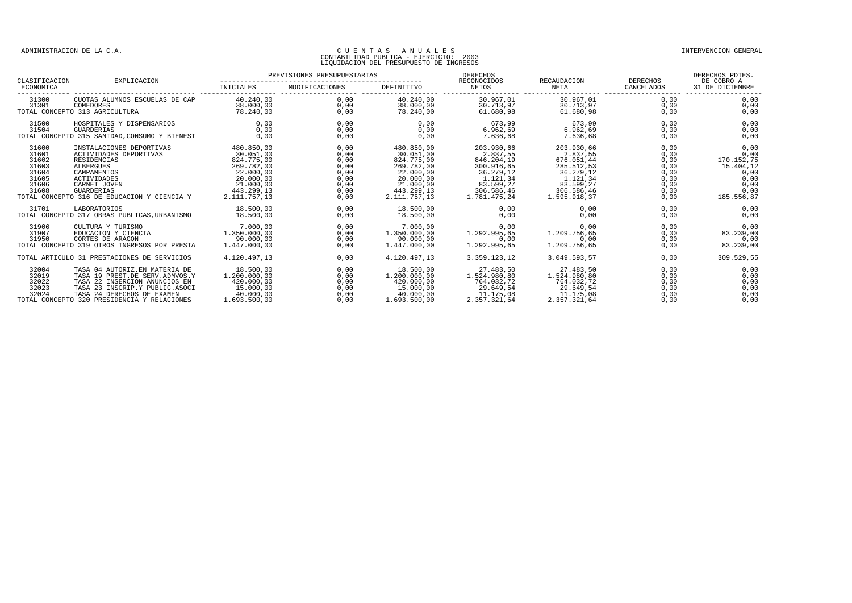| CLASIFICACION                                                        | EXPLICACION                                                                                                                                                                                                     | PREVISIONES PRESUPUESTARIAS                                                                                              |                                                                      |                                                                                                                          | DERECHOS<br>RECONOCIDOS                                                                                                | RECAUDACION                                                                                                            | DERECHOS                                                             | DERECHOS PDTES.<br>DE COBRO A                                                         |
|----------------------------------------------------------------------|-----------------------------------------------------------------------------------------------------------------------------------------------------------------------------------------------------------------|--------------------------------------------------------------------------------------------------------------------------|----------------------------------------------------------------------|--------------------------------------------------------------------------------------------------------------------------|------------------------------------------------------------------------------------------------------------------------|------------------------------------------------------------------------------------------------------------------------|----------------------------------------------------------------------|---------------------------------------------------------------------------------------|
| ECONOMICA                                                            |                                                                                                                                                                                                                 | INICIALES                                                                                                                | MODIFICACIONES                                                       | DEFINITIVO                                                                                                               | NETOS                                                                                                                  | NETA                                                                                                                   | CANCELADOS                                                           | 31 DE DICIEMBRE                                                                       |
| 31300<br>31301                                                       | CUOTAS ALUMNOS ESCUELAS DE CAP<br>COMEDORES<br>TOTAL CONCEPTO 313 AGRICULTURA                                                                                                                                   | 40.240,00<br>38.000,00<br>78.240.00                                                                                      | 0.00<br>0.00<br>0.00                                                 | 40.240.00<br>38,000,00<br>78,240,00                                                                                      | 30.967,01<br>30.713.97<br>61.680.98                                                                                    | 30.967,01<br>30.713.97<br>61.680.98                                                                                    | 0.00<br>0,00<br>0.00                                                 | 0.00<br>0,00<br>0.00                                                                  |
| 31500<br>31504                                                       | HOSPITALES Y DISPENSARIOS<br>GUARDERIAS<br>TOTAL CONCEPTO 315 SANIDAD, CONSUMO Y BIENEST                                                                                                                        | 0.00<br>0.00<br>0.00                                                                                                     | 0.00<br>0.00<br>0,00                                                 | 0.00<br>0.00<br>0.00                                                                                                     | 673,99<br>6.962.69<br>7.636.68                                                                                         | 673,99<br>6.962.69<br>7.636.68                                                                                         | 0.00<br>0,00<br>0.00                                                 | 0,00<br>0,00<br>0,00                                                                  |
| 31600<br>31601<br>31602<br>31603<br>31604<br>31605<br>31606<br>31608 | INSTALACIONES DEPORTIVAS<br>ACTIVIDADES DEPORTIVAS<br>RESIDENCIAS<br>ALBERGUES<br>CAMPAMENTOS<br>ACTIVIDADES<br>CARNET JOVEN<br>GUARDERIAS<br>TOTAL CONCEPTO 316 DE EDUCACION Y CIENCIA Y                       | 480.850,00<br>30.051,00<br>824.775,00<br>269.782,00<br>22.000,00<br>20.000,00<br>21,000,00<br>443.299.13<br>2.111.757.13 | 0.00<br>0,00<br>0,00<br>0,00<br>0,00<br>0,00<br>0,00<br>0,00<br>0.00 | 480.850,00<br>30.051,00<br>824.775,00<br>269.782,00<br>22.000,00<br>20.000.00<br>21,000,00<br>443.299.13<br>2.111.757.13 | 203.930,66<br>2.837.55<br>846.204,19<br>300.916,65<br>36.279,12<br>1.121,34<br>83.599,27<br>306.586,46<br>1.781.475.24 | 203.930,66<br>2.837,55<br>676.051,44<br>285.512,53<br>36.279,12<br>1.121,34<br>83.599,27<br>306.586,46<br>1.595.918.37 | 0,00<br>0,00<br>0,00<br>0,00<br>0,00<br>0,00<br>0,00<br>0,00<br>0.00 | 0,00<br>0,00<br>170.152,75<br>15.404,12<br>0,00<br>0,00<br>0,00<br>0,00<br>185.556,87 |
| 31701                                                                | LABORATORIOS<br>TOTAL CONCEPTO 317 OBRAS PUBLICAS. URBANISMO                                                                                                                                                    | 18.500,00<br>18,500,00                                                                                                   | 0.00<br>0.00                                                         | 18,500,00<br>18,500,00                                                                                                   | 0,00<br>0.00                                                                                                           | 0,00<br>0.00                                                                                                           | 0,00<br>0.00                                                         | 0,00<br>0,00                                                                          |
| 31906<br>31907<br>31950                                              | CULTURA Y TURISMO<br>EDUCACION Y CIENCIA<br>CORTES DE ARAGON<br>TOTAL CONCEPTO 319 OTROS INGRESOS POR PRESTA                                                                                                    | 7.000,00<br>1.350.000,00<br>90.000.00<br>1.447.000.00                                                                    | 0,00<br>0.00<br>0,00<br>0.00                                         | 7.000,00<br>1.350.000,00<br>90.000.00<br>1.447.000.00                                                                    | 0.00<br>1.292.995.65<br>0.00<br>1.292.995,65                                                                           | 0,00<br>1.209.756,65<br>0.00<br>1.209.756,65                                                                           | 0,00<br>0,00<br>0,00<br>0,00                                         | 0,00<br>83.239.00<br>0,00<br>83.239,00                                                |
|                                                                      | TOTAL ARTICULO 31 PRESTACIONES DE SERVICIOS                                                                                                                                                                     | 4.120.497.13                                                                                                             | 0.00                                                                 | 4.120.497.13                                                                                                             | 3.359.123,12                                                                                                           | 3.049.593.57                                                                                                           | 0,00                                                                 | 309.529,55                                                                            |
| 32004<br>32019<br>32022<br>32023<br>32024                            | TASA 04 AUTORIZ.EN MATERIA DE<br>TASA 19 PREST.DE SERV.ADMVOS.Y<br>TASA 22 INSERCION ANUNCIOS EN<br>TASA 23 INSCRIP.Y PUBLIC.ASOCI<br>TASA 24 DERECHOS DE EXAMEN<br>TOTAL CONCEPTO 320 PRESIDENCIA Y RELACIONES | 18.500,00<br>1,200,000,00<br>420,000,00<br>15.000,00<br>40.000.00<br>1.693.500.00                                        | 0,00<br>0,00<br>0,00<br>0,00<br>0,00<br>0.00                         | 18.500,00<br>1,200,000,00<br>420,000,00<br>15.000.00<br>40.000.00<br>1.693.500.00                                        | 27.483,50<br>1.524.980,80<br>764.032,72<br>29.649,54<br>11.175,08<br>2.357.321,64                                      | 27.483,50<br>1,524,980,80<br>764.032.72<br>29.649,54<br>11.175,08<br>2.357.321,64                                      | 0,00<br>0,00<br>0,00<br>0,00<br>0,00<br>0.00                         | 0,00<br>0,00<br>0,00<br>0,00<br>0,00<br>0.00                                          |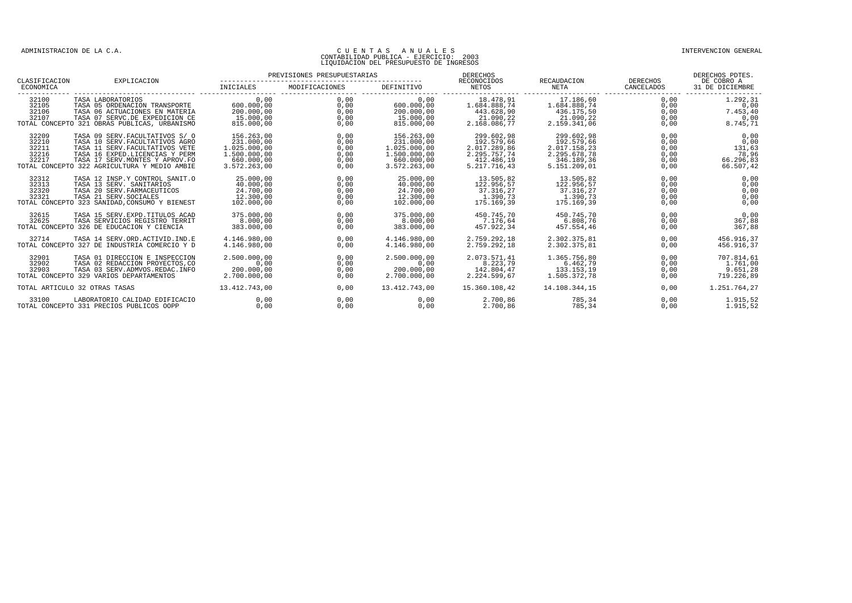| CLASIFICACION                             | EXPLICACION                                                                                                                                                                                                                 | PREVISIONES PRESUPUESTARIAS                                                            |                                              |                                                                                        | DERECHOS<br>RECONOCIDOS                                                                |                                                                                        | <b>DERECHOS</b>                              | DERECHOS PDTES.<br>DE COBRO A                             |
|-------------------------------------------|-----------------------------------------------------------------------------------------------------------------------------------------------------------------------------------------------------------------------------|----------------------------------------------------------------------------------------|----------------------------------------------|----------------------------------------------------------------------------------------|----------------------------------------------------------------------------------------|----------------------------------------------------------------------------------------|----------------------------------------------|-----------------------------------------------------------|
| ECONOMICA                                 |                                                                                                                                                                                                                             | INICIALES                                                                              | MODIFICACIONES                               | DEFINITIVO                                                                             | NETOS                                                                                  | RECAUDACION<br>NETA                                                                    | CANCELADOS<br>--------------------           | 31 DE DICIEMBRE                                           |
| 32100<br>32105<br>32106<br>32107          | TASA LABORATORIOS<br>TASA 05 ORDENACION TRANSPORTE<br>TASA 06 ACTUACIONES EN MATERIA<br>TASA 07 SERVC.DE EXPEDICION CE<br>TOTAL CONCEPTO 321 OBRAS PUBLICAS, URBANISMO                                                      | 0.00<br>600,000,00<br>200.000,00<br>15,000,00<br>815.000,00                            | 0,00<br>0,00<br>0,00<br>0.00<br>0,00         | 0.00<br>600,000,00<br>200.000,00<br>15.000.00<br>815.000,00                            | 18.478,91<br>1.684.888,74<br>443.628,90<br>21.090.22<br>2.168.086,77                   | 17.186,60<br>1.684.888.74<br>436.175,50<br>21.090.22<br>2.159.341,06                   | 0.00<br>0,00<br>0,00<br>0.00<br>0,00         | 1.292.31<br>0,00<br>7.453,40<br>0.00<br>8.745,71          |
| 32209<br>32210<br>32211<br>32216<br>32217 | TASA 09 SERV. FACULTATIVOS S/ 0<br>TASA 10 SERV. FACULTATIVOS AGRO<br>TASA 11 SERV. FACULTATIVOS VETE<br>TASA 16 EXPED.LICENCIAS Y PERM<br>TASA 17 SERV. MONTES Y APROV. FO<br>TOTAL CONCEPTO 322 AGRICULTURA Y MEDIO AMBIE | 156.263.00<br>231.000,00<br>1.025.000.00<br>1.500.000.00<br>660,000,00<br>3.572.263.00 | 0.00<br>0,00<br>0,00<br>0,00<br>0,00<br>0,00 | 156.263.00<br>231.000,00<br>1.025.000.00<br>1.500.000.00<br>660.000.00<br>3.572.263.00 | 299.602.98<br>192.579,66<br>2.017.289.86<br>2.295.757,74<br>412.486,19<br>5.217.716.43 | 299.602.98<br>192.579,66<br>2.017.158,23<br>2.295.678,78<br>346.189,36<br>5.151.209.01 | 0.00<br>0,00<br>0,00<br>0,00<br>0,00<br>0.00 | 0,00<br>0,00<br>131,63<br>78,96<br>66.296,83<br>66.507,42 |
| 32312<br>32313<br>32320<br>32321          | TASA 12 INSP.Y CONTROL SANIT.O<br>TASA 13 SERV. SANITARIOS<br>TASA 20 SERV. FARMACEUTICOS<br>TASA 21 SERV. SOCIALES<br>TOTAL CONCEPTO 323 SANIDAD, CONSUMO Y BIENEST                                                        | 25,000,00<br>40.000,00<br>24.700,00<br>12,300,00<br>102.000,00                         | 0.00<br>0.00<br>0,00<br>0,00<br>0,00         | 25,000,00<br>40.000,00<br>24.700,00<br>12,300,00<br>102.000,00                         | 13.505.82<br>122.956,57<br>37.316,27<br>1.390.73<br>175.169.39                         | 13.505.82<br>122.956,57<br>37.316,27<br>1.390.73<br>175.169,39                         | 0.00<br>0,00<br>0,00<br>0,00<br>0,00         | 0.00<br>0,00<br>0,00<br>0.00<br>0,00                      |
| 32615<br>32625                            | TASA 15 SERV. EXPD. TITULOS ACAD<br>TASA SERVICIOS REGISTRO TERRIT<br>TOTAL CONCEPTO 326 DE EDUCACION Y CIENCIA                                                                                                             | 375,000,00<br>8.000.00<br>383.000.00                                                   | 0.00<br>0,00<br>0,00                         | 375,000,00<br>8.000.00<br>383,000,00                                                   | 450.745,70<br>7.176.64<br>457.922.34                                                   | 450.745.70<br>6.808,76<br>457.554.46                                                   | 0.00<br>0,00<br>0,00                         | 0,00<br>367,88<br>367.88                                  |
| 32714                                     | TASA 14 SERV.ORD.ACTIVID.IND.E<br>TOTAL CONCEPTO 327 DE INDUSTRIA COMERCIO Y D                                                                                                                                              | 4.146.980.00<br>4.146.980.00                                                           | 0.00<br>0.00                                 | 4.146.980.00<br>4.146.980.00                                                           | 2.759.292,18<br>2.759.292.18                                                           | 2.302.375,81<br>2.302.375.81                                                           | 0.00<br>0.00                                 | 456.916,37<br>456.916.37                                  |
| 32901<br>32902<br>32903                   | TASA 01 DIRECCION E INSPECCION<br>TASA 02 REDACCION PROYECTOS, CO<br>TASA 03 SERV. ADMVOS. REDAC. INFO<br>TOTAL CONCEPTO 329 VARIOS DEPARTAMENTOS                                                                           | 2.500.000,00<br>0.00<br>200.000,00<br>2.700.000.00                                     | 0,00<br>0,00<br>0,00<br>0.00                 | 2.500.000,00<br>0,00<br>200.000,00<br>2.700.000.00                                     | 2.073.571,41<br>8.223,79<br>142.804,47<br>2.224.599.67                                 | 1.365.756,80<br>6.462,79<br>133.153,19<br>1.505.372.78                                 | 0,00<br>0,00<br>0,00<br>0.00                 | 707.814,61<br>1.761,00<br>9.651,28<br>719.226.89          |
|                                           | TOTAL ARTICULO 32 OTRAS TASAS                                                                                                                                                                                               | 13.412.743,00                                                                          | 0,00                                         | 13.412.743,00                                                                          | 15.360.108,42                                                                          | 14.108.344.15                                                                          | 0.00                                         | 1.251.764,27                                              |
| 33100                                     | LABORATORIO CALIDAD EDIFICACIO<br>TOTAL CONCEPTO 331 PRECIOS PUBLICOS OOPP                                                                                                                                                  | 0.00<br>0.00                                                                           | 0.00<br>0.00                                 | 0.00<br>0.00                                                                           | 2.700,86<br>2.700.86                                                                   | 785,34<br>785,34                                                                       | 0.00<br>0.00                                 | 1.915,52<br>1.915,52                                      |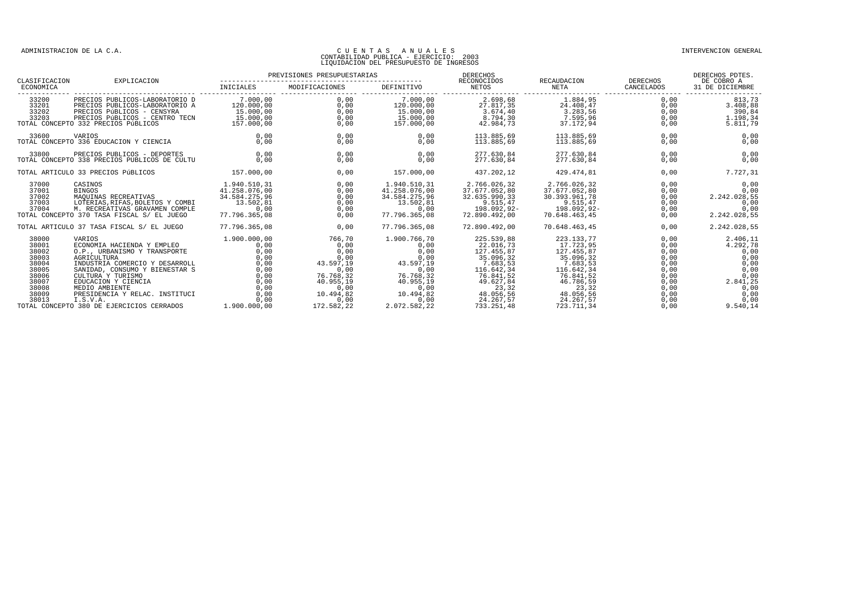| CLASIFICACION                                                                                   | EXPLICACION                                                                                                                                                                                                                                                         | PREVISIONES PRESUPUESTARIAS                                                                  |                                                                                                            |                                                                                                                  | <b>DERECHOS</b><br>RECONOCIDOS                                                                                                            | RECAUDACION                                                                                                                                   | <b>DERECHOS</b>                                                                      | DERECHOS PDTES.<br>DE COBRO A                                                                    |
|-------------------------------------------------------------------------------------------------|---------------------------------------------------------------------------------------------------------------------------------------------------------------------------------------------------------------------------------------------------------------------|----------------------------------------------------------------------------------------------|------------------------------------------------------------------------------------------------------------|------------------------------------------------------------------------------------------------------------------|-------------------------------------------------------------------------------------------------------------------------------------------|-----------------------------------------------------------------------------------------------------------------------------------------------|--------------------------------------------------------------------------------------|--------------------------------------------------------------------------------------------------|
| ECONOMICA                                                                                       |                                                                                                                                                                                                                                                                     | INICIALES                                                                                    | MODIFICACIONES                                                                                             | DEFINITIVO                                                                                                       | NETOS                                                                                                                                     | NETA                                                                                                                                          | CANCELADOS                                                                           | 31 DE DICIEMBRE                                                                                  |
| 33200<br>33201<br>33202<br>33203                                                                | PRECIOS PUBLICOS-LABORATORIO D<br>PRECIOS PUBLICOS-LABORATORIO A<br>PRECIOS PÚBLICOS - CENSYRA<br>PRECIOS PÚBLICOS - CENTRO TECN<br>TOTAL CONCEPTO 332 PRECIOS PÚBLICOS                                                                                             | 7.000.00<br>120.000,00<br>15.000,00<br>15.000,00<br>157.000,00                               | 0.00<br>0,00<br>0,00<br>0.00<br>0,00                                                                       | 7.000.00<br>120.000,00<br>15.000,00<br>15.000,00<br>157.000,00                                                   | 2.698.68<br>$2\overline{7}.81\overline{7}.35$<br>3.674,40<br>8.794,30<br>42.984,73                                                        | 1.884.95<br>$2\overline{4.408, 47}$<br>3.283,56<br>7.595,96<br>37.172,94                                                                      | 0.00<br>0,00<br>0,00<br>0,00<br>0,00                                                 | 813,73<br>3.408,88<br>390,84<br>1.198.34<br>5.811,79                                             |
| 33600                                                                                           | VARIOS<br>TOTAL CONCEPTO 336 EDUCACION Y CIENCIA                                                                                                                                                                                                                    | 0,00<br>0.00                                                                                 | 0,00<br>0,00                                                                                               | 0,00<br>0.00                                                                                                     | 113.885,69<br>113.885.69                                                                                                                  | 113.885,69<br>113.885.69                                                                                                                      | 0,00<br>0,00                                                                         | 0,00<br>0,00                                                                                     |
| 33800                                                                                           | PRECIOS PUBLICOS - DEPORTES<br>TOTAL CONCEPTO 338 PRECIOS PUBLICOS DE CULTU                                                                                                                                                                                         | 0.00<br>0.00                                                                                 | 0.00<br>0,00                                                                                               | 0.00<br>0.00                                                                                                     | 277.630.84<br>277.630,84                                                                                                                  | 277.630.84<br>277.630,84                                                                                                                      | 0.00<br>0,00                                                                         | 0,00<br>0,00                                                                                     |
|                                                                                                 | TOTAL ARTICULO 33 PRECIOS PÚBLICOS                                                                                                                                                                                                                                  | 157.000,00                                                                                   | 0,00                                                                                                       | 157.000,00                                                                                                       | 437.202,12                                                                                                                                | 429.474,81                                                                                                                                    | 0,00                                                                                 | 7.727,31                                                                                         |
| 37000<br>37001<br>37002<br>37003<br>37004                                                       | CASINOS<br>$1.940.510, 31$<br>$41.258.076.00$<br><b>BINGOS</b><br>MAQUINAS RECREATIVAS<br>LOTERIAS, RIFAS, BOLETOS Y COMBI<br>M. RECREATIVAS GRAVAMEN COMPLE<br>TOTAL CONCEPTO 370 TASA FISCAL S/ EL JUEGO                                                          | 34.584.275.96<br>13.502,81<br>0,00<br>77.796.365.08                                          | 0,00<br>0,00<br>0,00<br>0,00<br>0,00<br>0.00                                                               | 1.940.510,31<br>41.258.076.00<br>34.584.275,96<br>13.502,81<br>0,00<br>77.796.365.08                             | 2.766.026,32<br>37.677.052,80<br>32.635.990,33<br>9.515,47<br>198.092,92-<br>72.890.492.00                                                | 2.766.026,32<br>37.677.052,80<br>30.393.961,78<br>9.515,47<br>198.092,92-<br>70.648.463.45                                                    | 0,00<br>0,00<br>0,00<br>0,00<br>0,00<br>0.00                                         | 0,00<br>0,00<br>2.242.028,55<br>0,00<br>0,00<br>2.242.028,55                                     |
|                                                                                                 | TOTAL ARTICULO 37 TASA FISCAL S/ EL JUEGO                                                                                                                                                                                                                           | 77.796.365.08                                                                                | 0.00                                                                                                       | 77.796.365.08                                                                                                    | 72.890.492.00                                                                                                                             | 70.648.463.45                                                                                                                                 | 0.00                                                                                 | 2.242.028,55                                                                                     |
| 38000<br>38001<br>38002<br>38003<br>38004<br>38005<br>38006<br>38007<br>38008<br>38009<br>38013 | VARIOS<br>ECONOMIA HACIENDA Y EMPLEO<br>O.P., URBANISMO Y TRANSPORTE<br>AGRICULTURA<br>INDUSTRIA COMERCIO Y DESARROLL<br>SANIDAD, CONSUMO Y BIENESTAR S<br>CULTURA Y TURISMO<br>EDUCACION Y CIENCIA<br>MEDIO AMBIENTE<br>PRESIDENCIA Y RELAC. INSTITUCI<br>I.S.V.A. | 1,900,000,00<br>0.00<br>0,00<br>0,00<br>0,00<br>0,00<br>0,00<br>0.00<br>0,00<br>0,00<br>0,00 | 766,70<br>0.00<br>0,00<br>0,00<br>43.597,19<br>0,00<br>76.768,32<br>40.955.19<br>0,00<br>10.494,82<br>0,00 | 1.900.766,70<br>0,00<br>0,00<br>0,00<br>43.597,19<br>0,00<br>76.768,32<br>40.955.19<br>0,00<br>10.494,82<br>0,00 | 225.539,88<br>22.016,73<br>127.455,87<br>35.096,32<br>7.683,53<br>116.642,34<br>76.841,52<br>49.627,84<br>23,32<br>48.056,56<br>24.267,57 | 223.133,77<br>17.723,95<br>127.455,87<br>35.096,32<br>7.683,53<br>116.642,34<br>76.841,52<br>46.786,59<br>23,32<br>$48.056,56$<br>$24.267,57$ | 0,00<br>0.00<br>0,00<br>0,00<br>0,00<br>0,00<br>0,00<br>0,00<br>0,00<br>0,00<br>0,00 | 2.406,11<br>4.292,78<br>0,00<br>0,00<br>0,00<br>0,00<br>0,00<br>2.841,25<br>0,00<br>0,00<br>0,00 |
|                                                                                                 | TOTAL CONCEPTO 380 DE EJERCICIOS CERRADOS                                                                                                                                                                                                                           | 1,900,000,00                                                                                 | 172.582,22                                                                                                 | 2.072.582,22                                                                                                     | 733.251,48                                                                                                                                | 723.711,34                                                                                                                                    | 0,00                                                                                 | 9.540,14                                                                                         |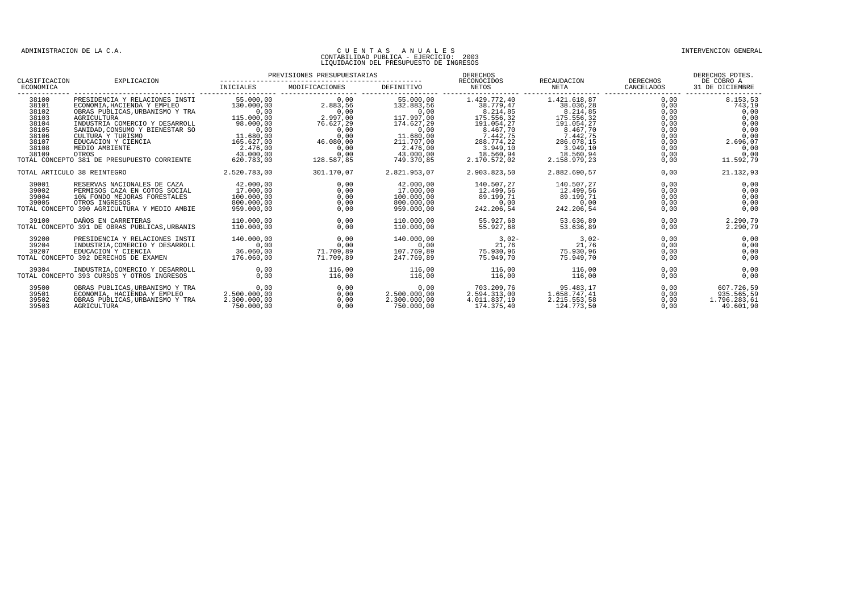|                                                                                        |                                                                                                                                                                                                                                                                                                            |                                                                                                                                      | PREVISIONES PRESUPUESTARIAS                                                                                    |                                                                                                                                       | DERECHOS<br>RECONOCIDOS                                                                                                                           | RECAUDACION                                                                                                                                      | <b>DERECHOS</b>                                                                      | DERECHOS PDTES.<br>DE COBRO A                                                                       |
|----------------------------------------------------------------------------------------|------------------------------------------------------------------------------------------------------------------------------------------------------------------------------------------------------------------------------------------------------------------------------------------------------------|--------------------------------------------------------------------------------------------------------------------------------------|----------------------------------------------------------------------------------------------------------------|---------------------------------------------------------------------------------------------------------------------------------------|---------------------------------------------------------------------------------------------------------------------------------------------------|--------------------------------------------------------------------------------------------------------------------------------------------------|--------------------------------------------------------------------------------------|-----------------------------------------------------------------------------------------------------|
| CLASIFICACION<br>ECONOMICA                                                             | EXPLICACION                                                                                                                                                                                                                                                                                                | INICIALES                                                                                                                            | MODIFICACIONES                                                                                                 | DEFINITIVO                                                                                                                            | NETOS                                                                                                                                             | NETA                                                                                                                                             | CANCELADOS                                                                           | 31 DE DICIEMBRE                                                                                     |
| 38100<br>38101<br>38102<br>38103<br>38104<br>38105<br>38106<br>38107<br>38108<br>38109 | PRESIDENCIA Y RELACIONES INSTI<br>ECONOMIA, HACIENDA Y EMPLEO<br>OBRAS PUBLICAS, URBANISMO Y TRA<br>AGRICULTURA<br>INDUSTRIA COMERCIO Y DESARROLL<br>SANIDAD, CONSUMO Y BIENESTAR SO<br>CULTURA Y TURISMO<br>EDUCACION Y CIENCIA<br>MEDIO AMBIENTE<br>OTROS<br>TOTAL CONCEPTO 381 DE PRESUPUESTO CORRIENTE | 55.000.00<br>130.000,00<br>0.00<br>115.000,00<br>98.000,00<br>0,00<br>11.680,00<br>165.627.00<br>2.476,00<br>43.000,00<br>620.783.00 | 0.00<br>2.883,56<br>0.00<br>$2.997,00$<br>76.627,29<br>0,00<br>0,00<br>46.080,00<br>0,00<br>0,00<br>128.587,85 | 55.000.00<br>132.883.56<br>0.00<br>117.997,00<br>174.627,29<br>0,00<br>11.680,00<br>211,707,00<br>2.476,00<br>43.000,00<br>749.370.85 | 1.429.772,40<br>38.779,47<br>8.214.85<br>175.556,32<br>191.054,27<br>8.467,70<br>7.442,75<br>288.774.22<br>3.949, 10<br>18.560,94<br>2.170.572.02 | 1.421.618.87<br>38.036,28<br>8.214.85<br>175.556,32<br>191.054,27<br>8.467,70<br>7.442,75<br>286.078.15<br>3.949,10<br>18.560,94<br>2.158.979.23 | 0.00<br>0,00<br>0.00<br>0,00<br>0,00<br>0,00<br>0,00<br>0.00<br>0,00<br>0,00<br>0,00 | 8.153,53<br>743,19<br>0.00<br>0,00<br>0,00<br>0,00<br>0,00<br>2.696.07<br>0,00<br>0,00<br>11.592,79 |
|                                                                                        | TOTAL ARTICULO 38 REINTEGRO                                                                                                                                                                                                                                                                                | 2.520.783,00                                                                                                                         | 301.170,07                                                                                                     | 2.821.953,07                                                                                                                          | 2.903.823,50                                                                                                                                      | 2.882.690,57                                                                                                                                     | 0,00                                                                                 | 21.132,93                                                                                           |
| 39001<br>39002<br>39004<br>39005                                                       | RESERVAS NACIONALES DE CAZA<br>PERMISOS CAZA EN COTOS SOCIAL<br>10% FONDO MEJORAS FORESTALES<br>OTROS INGRESOS<br>TOTAL CONCEPTO 390 AGRICULTURA Y MEDIO AMBIE                                                                                                                                             | 42.000,00<br>17.000.00<br>100.000,00<br>800.000,00<br>959,000,00                                                                     | 0,00<br>0.00<br>0,00<br>0,00<br>0.00                                                                           | 42.000,00<br>17.000.00<br>100.000,00<br>800.000,00<br>959,000,00                                                                      | 140.507,27<br>12.499.56<br>89.199,71<br>0,00<br>242.206.54                                                                                        | 140.507,27<br>12.499.56<br>89.199,71<br>0,00<br>242.206.54                                                                                       | 0,00<br>0.00<br>0,00<br>0,00<br>0,00                                                 | 0,00<br>0.00<br>0,00<br>0,00<br>0,00                                                                |
| 39100                                                                                  | DAÑOS EN CARRETERAS<br>TOTAL CONCEPTO 391 DE OBRAS PUBLICAS, URBANIS                                                                                                                                                                                                                                       | 110.000,00<br>110.000.00                                                                                                             | 0,00<br>0.00                                                                                                   | 110.000,00<br>110,000,00                                                                                                              | 55.927,68<br>55.927.68                                                                                                                            | 53.636,89<br>53.636.89                                                                                                                           | 0,00<br>0.00                                                                         | 2.290,79<br>2.290,79                                                                                |
| 39200<br>39204<br>39207                                                                | PRESIDENCIA Y RELACIONES INSTI<br>INDUSTRIA, COMERCIO Y DESARROLL<br>EDUCACION Y CIENCIA<br>TOTAL CONCEPTO 392 DERECHOS DE EXAMEN                                                                                                                                                                          | 140.000.00<br>0.00<br>36.060,00<br>176.060.00                                                                                        | 0.00<br>0.00<br>71.709,89<br>71.709.89                                                                         | 140.000.00<br>0.00<br>107.769,89<br>247.769.89                                                                                        | $3,02-$<br>21,76<br>75.930,96<br>75.949.70                                                                                                        | $3,02-$<br>21,76<br>75.930,96<br>75.949.70                                                                                                       | 0.00<br>0,00<br>0,00<br>0.00                                                         | 0,00<br>0,00<br>0,00<br>0,00                                                                        |
| 39304                                                                                  | INDUSTRIA.COMERCIO Y DESARROLL<br>TOTAL CONCEPTO 393 CURSOS Y OTROS INGRESOS                                                                                                                                                                                                                               | 0.00<br>0.00                                                                                                                         | 116,00<br>116,00                                                                                               | 116,00<br>116,00                                                                                                                      | 116,00<br>116,00                                                                                                                                  | 116,00<br>116,00                                                                                                                                 | 0.00<br>0.00                                                                         | 0,00<br>0.00                                                                                        |
| 39500<br>39501<br>39502<br>39503                                                       | OBRAS PUBLICAS, URBANISMO Y TRA<br>ECONOMIA, HACIENDA Y EMPLEO<br>OBRAS PUBLICAS, URBANISMO Y TRA<br>AGRICULTURA                                                                                                                                                                                           | 0.00<br>2.500.000,00<br>2.300.000,00<br>750.000.00                                                                                   | 0.00<br>0,00<br>0,00<br>0.00                                                                                   | 0.00<br>2.500.000,00<br>2.300.000,00<br>750.000.00                                                                                    | 703.209.76<br>2.594.313,00<br>4.011.837,19<br>174.375.40                                                                                          | 95.483.17<br>1.658.747,41<br>2.215.553,58<br>124.773.50                                                                                          | 0.00<br>0,00<br>0,00<br>0.00                                                         | 607.726,59<br>935.565,59<br>1.796.283,61<br>49.601.90                                               |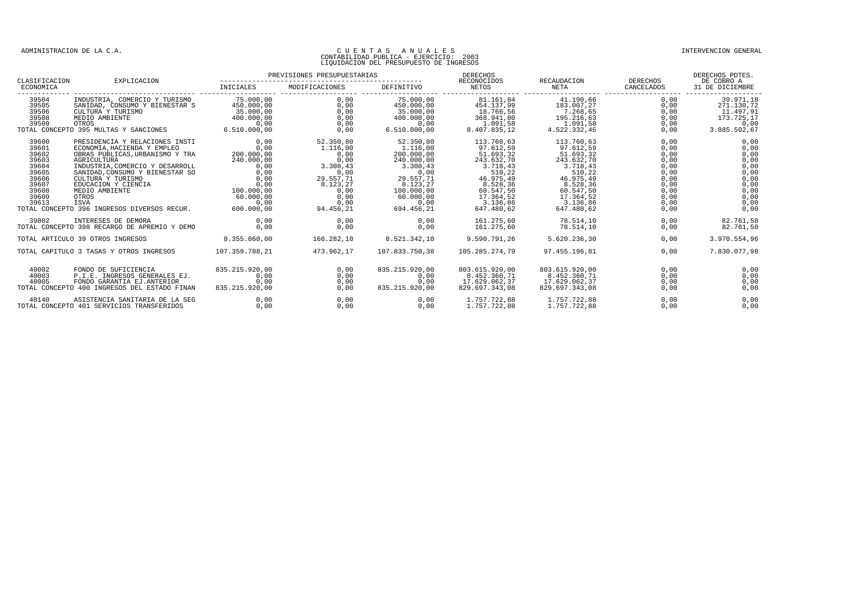| CLASIFICACION                                                                                   | EXPLICACION                                                                                                                                                                                                                                                                                                                                                                                    | PREVISIONES PRESUPUESTARIAS                                                  |                                                                                                             |                                                                                                                                           | DERECHOS<br>RECONOCIDOS                                                                                                                                 | RECAUDACION DERECHOS                                                                                                                                     |                                                                                              | DERECHOS PDTES.<br>DE COBRO A                                                                |
|-------------------------------------------------------------------------------------------------|------------------------------------------------------------------------------------------------------------------------------------------------------------------------------------------------------------------------------------------------------------------------------------------------------------------------------------------------------------------------------------------------|------------------------------------------------------------------------------|-------------------------------------------------------------------------------------------------------------|-------------------------------------------------------------------------------------------------------------------------------------------|---------------------------------------------------------------------------------------------------------------------------------------------------------|----------------------------------------------------------------------------------------------------------------------------------------------------------|----------------------------------------------------------------------------------------------|----------------------------------------------------------------------------------------------|
| ECONOMICA                                                                                       |                                                                                                                                                                                                                                                                                                                                                                                                |                                                                              |                                                                                                             |                                                                                                                                           |                                                                                                                                                         |                                                                                                                                                          |                                                                                              |                                                                                              |
| 39504<br>39505<br>39506<br>39508                                                                | INDUSTRIA, COMERCIO Y TURISMO 75.000,00<br>SANIDAD, CONSUMO Y BIENESTAR S<br>CULTURA Y TURISMO<br>MEDIO AMBIENTE                                                                                                                                                                                                                                                                               | 450.000,00<br>$\begin{array}{c c} 35.000,00 \\ 400.000,00 \end{array}$       | 0,00<br>0,00<br>0,00<br>0,00<br>0.00                                                                        | 450.000,00<br>$35.\overline{000},\overline{00}$<br>$400.\overline{000},00$<br>0.00<br>6.510.000.00                                        | 454.137.99<br>18.766,56<br>368.941,80<br>1.091,58<br>8.407.835.12                                                                                       | $0.00$ $75.000.00$ $81.161.84$ $41.190.66$<br>183.007,27<br>7.268,65<br>195.216,63<br>1.091,58<br>4.522.332,45                                           | 0,00<br>0,00<br>0,00<br>0,00<br>0,00<br>0.00                                                 | 39.971,18<br>271.130,72<br>11.497,91<br>173.725,17<br>0,00<br>3.885.502,67                   |
| 39600<br>39601<br>39602<br>39603<br>39604<br>39605<br>39606<br>39607<br>39608<br>39609<br>39613 | PRESIDENCIA Y RELACIONES INSTI<br>CONOMIA, HACIENDA Y EMPLEO<br>OBRAS PUBLICAS, URBANISMO Y TRA $200.000,00$<br>AGRICULTURA (COMERCIO Y DESARROLL 240.000,00<br>INDUSTRIA, COMERCIO Y DESARROLL 0,00<br>SANIDAD, CONSUMO Y BIENESTAR SO<br>CULTURA Y TURISMO<br>EDUCACION Y CIENCIA<br>MEDIO AMBIENTE<br>OTROS<br>ISVA<br>39613 ISVA<br>TOTAL CONCEPTO 396 INGRESOS DIVERSOS RECUR. 600.000,00 | 0,00<br>0,00<br>0,00<br>0,00<br>IA 0,000<br>100.000,00<br>60.000,000<br>0.00 | $52.350,80\n1.116,00\n0,00\n3.308,43$<br>0,00<br>29.557.71<br>8.123,27<br>0,00<br>0.00<br>0.00<br>94.456,21 | 52.350,80<br>1.116,00<br>200.000,00<br>240.000,00<br>3.308,43<br>$29.557,71$<br>8 123,27<br>100.000,00<br>60.000.00<br>0.00<br>694.456,21 | 113.760,63<br>97.612,59<br>51.693,32<br>$243.632,70$<br>3.718,43<br>510,22<br>46.975,49<br>8.528,36<br>60.547,50<br>17.364.52<br>3.136.86<br>647.480,62 | 113.760,63<br>97.612,59<br>51.693,32<br>$243.632,70$<br>3.718,43<br>510, 22<br>46.975,49<br>8.528,36<br>60.547,50<br>17.364.52<br>3.136.86<br>647.480.62 | 0,00<br>0,00<br>0,00<br>0,00<br>0,00<br>0,00<br>0,00<br>0,00<br>0,00<br>0,00<br>0,00<br>0,00 | 0,00<br>0,00<br>0,00<br>0,00<br>0,00<br>0,00<br>0,00<br>0,00<br>0,00<br>0.00<br>0.00<br>0,00 |
| 39802                                                                                           | INTERESES DE DEMORA<br>TOTAL CONCEPTO 398 RECARGO DE APREMIO Y DEMO                                                                                                                                                                                                                                                                                                                            | 0.00<br>0,00                                                                 | 0.00<br>0,00                                                                                                | 0.00<br>0,00                                                                                                                              | 161.275.60<br>161.275,60                                                                                                                                | 78.514.10<br>78.514,10                                                                                                                                   | 0.00<br>0,00                                                                                 | 82.761,50<br>82.761,50                                                                       |
|                                                                                                 | TOTAL ARTICULO 39 OTROS INGRESOS                                                                                                                                                                                                                                                                                                                                                               | 8.355.060.00                                                                 | 166.282.10                                                                                                  | 8.521.342.10                                                                                                                              | 9.590.791.26                                                                                                                                            | 5.620.236.30                                                                                                                                             | 0.00                                                                                         | 3.970.554,96                                                                                 |
|                                                                                                 | TOTAL CAPITULO 3 TASAS Y OTROS INGRESOS                                                                                                                                                                                                                                                                                                                                                        | 107.359.788.21                                                               | 473.962,17                                                                                                  | 107.833.750,38                                                                                                                            | 105.285.274,79                                                                                                                                          | 97.455.196,81                                                                                                                                            | 0.00                                                                                         | 7.830.077,98                                                                                 |
| 40002<br>40003<br>40005                                                                         | FONDO DE SUFICIENCIA<br>P.I.E. INGRESOS GENERALES EJ.<br>FONDO GARANTIA EJ.ANTERIOR<br>TOTAL CONCEPTO 400 INGRESOS DEL ESTADO FINAN                                                                                                                                                                                                                                                            | 835.215.920,00<br>0.00<br>0.00<br>835.215.920.00                             | 0,00<br>0,00<br>0,00<br>0.00                                                                                | 835.215.920,00<br>0.00<br>0.00<br>835.215.920.00                                                                                          | 803.615.920,00<br>8.452.360,71<br>17.629.062,37<br>829.697.343.08                                                                                       | 803.615.920,00<br>8.452.360,71<br>17.629.062,37<br>829.697.343,08                                                                                        | 0.00<br>0,00<br>0,00<br>0.00                                                                 | 0,00<br>0,00<br>0,00<br>0,00                                                                 |
| 40140                                                                                           | ASISTENCIA SANITARIA DE LA SEG<br>TOTAL CONCEPTO 401 SERVICIOS TRANSFERIDOS                                                                                                                                                                                                                                                                                                                    | 0,00<br>0.00                                                                 | 0,00<br>0.00                                                                                                | 0,00<br>0.00                                                                                                                              | 1.757.722,88 1.757.722,88<br>1.757.722,88                                                                                                               | 1.757.722,88                                                                                                                                             | 0,00<br>0.00                                                                                 | 0,00<br>0.00                                                                                 |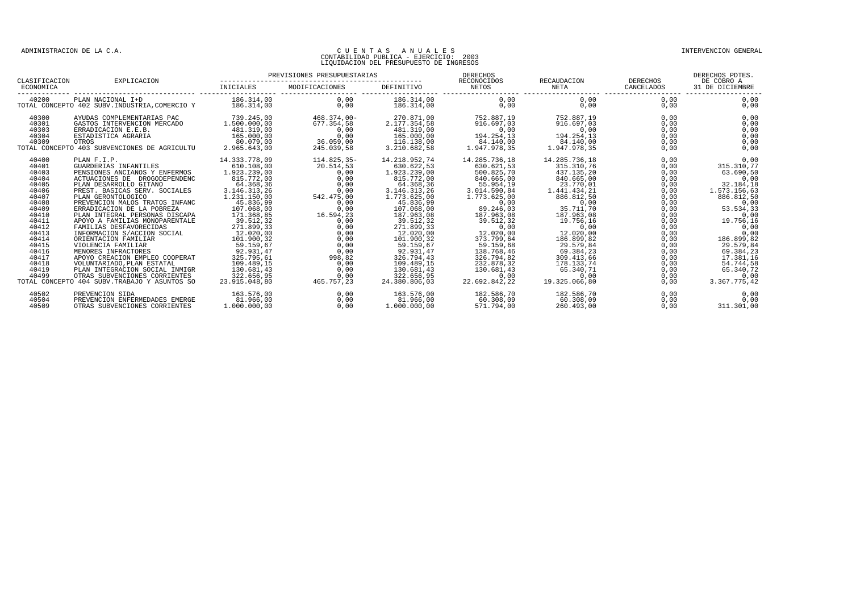| CLASIFICACION                                                                                                                                                                    | EXPLICACION                                                                                                                                                                                                                                                                                                                                                                                                                                                                                                                                                                                                                                    |                                                                                                                                                                                                                                                                                                                                                             |                                                                                                                                                                                                     |                                                                                                                                                                                                                                                                                                          |                                                                                                                                                                                                                                                                                       | RECAUDACION                                                                                                                                                                                                                                                                       | DERECHOS                                                                                                                                                             | DERECHOS PDTES.<br>DE COBRO A<br>31 DE DICIEMBRE                                                                                                                                                                                                    |
|----------------------------------------------------------------------------------------------------------------------------------------------------------------------------------|------------------------------------------------------------------------------------------------------------------------------------------------------------------------------------------------------------------------------------------------------------------------------------------------------------------------------------------------------------------------------------------------------------------------------------------------------------------------------------------------------------------------------------------------------------------------------------------------------------------------------------------------|-------------------------------------------------------------------------------------------------------------------------------------------------------------------------------------------------------------------------------------------------------------------------------------------------------------------------------------------------------------|-----------------------------------------------------------------------------------------------------------------------------------------------------------------------------------------------------|----------------------------------------------------------------------------------------------------------------------------------------------------------------------------------------------------------------------------------------------------------------------------------------------------------|---------------------------------------------------------------------------------------------------------------------------------------------------------------------------------------------------------------------------------------------------------------------------------------|-----------------------------------------------------------------------------------------------------------------------------------------------------------------------------------------------------------------------------------------------------------------------------------|----------------------------------------------------------------------------------------------------------------------------------------------------------------------|-----------------------------------------------------------------------------------------------------------------------------------------------------------------------------------------------------------------------------------------------------|
| ECONOMICA                                                                                                                                                                        |                                                                                                                                                                                                                                                                                                                                                                                                                                                                                                                                                                                                                                                | <b>INICIALES</b>                                                                                                                                                                                                                                                                                                                                            | MODIFICACIONES                                                                                                                                                                                      | DEFINITIVO                                                                                                                                                                                                                                                                                               | NETOS                                                                                                                                                                                                                                                                                 | NETA                                                                                                                                                                                                                                                                              | CANCELADOS                                                                                                                                                           |                                                                                                                                                                                                                                                     |
| 40200                                                                                                                                                                            | PLAN NACIONAL I+D<br>TOTAL CONCEPTO 402 SUBV. INDUSTRIA, COMERCIO Y                                                                                                                                                                                                                                                                                                                                                                                                                                                                                                                                                                            | 186.314.00<br>186.314,00                                                                                                                                                                                                                                                                                                                                    | 0.00<br>0.00                                                                                                                                                                                        | 186.314.00<br>186.314,00                                                                                                                                                                                                                                                                                 | 0.00<br>0,00                                                                                                                                                                                                                                                                          | 0.00<br>0,00                                                                                                                                                                                                                                                                      | 0.00<br>0,00                                                                                                                                                         | 0,00<br>0,00                                                                                                                                                                                                                                        |
| 40300<br>40301<br>40303<br>40304<br>40309                                                                                                                                        | AYUDAS COMPLEMENTARIAS PAC<br>GASTOS INTERVENCION MERCADO<br>ERRADICACION E.E.B.<br>ESTADISTICA AGRARIA<br>OTROS<br>TOTAL CONCEPTO 403 SUBVENCIONES DE AGRICULTU                                                                                                                                                                                                                                                                                                                                                                                                                                                                               | 739.245,00<br>1,500,000,00<br>481.319,00<br>165.000,00<br>80.079,00<br>2.965.643,00                                                                                                                                                                                                                                                                         | $468.374.00 -$<br>677.354.58<br>0,00<br>0,00<br>36.059,00<br>245.039,58                                                                                                                             | 270.871,00<br>2.177.354.58<br>481.319,00<br>165.000,00<br>116.138,00<br>3.210.682,58                                                                                                                                                                                                                     | 752.887,19<br>916.697.03<br>0,00<br>194.254,13<br>84.140,00<br>1.947.978,35                                                                                                                                                                                                           | 752.887,19<br>916.697.03<br>0,00<br>194.254,13<br>84.140,00<br>1.947.978.35                                                                                                                                                                                                       | 0.00<br>0,00<br>0,00<br>0,00<br>0,00<br>0,00                                                                                                                         | 0,00<br>0,00<br>0,00<br>0,00<br>0,00<br>0,00                                                                                                                                                                                                        |
| 40400<br>40401<br>40403<br>40404<br>40405<br>40406<br>40407<br>40408<br>40409<br>40410<br>40411<br>40412<br>40413<br>40414<br>40415<br>40416<br>40417<br>40418<br>40419<br>40499 | PLAN F.I.P.<br>GUARDERIAS INFANTILES<br>PENSIONES ANCIANOS Y ENFERMOS<br>ACTUACIONES DE DROGODEPENDENC<br>PLAN DESARROLLO GITANO<br>PREST. BASICAS SERV. SOCIALES<br>PLAN GERONTOLOGICO<br>PREVENCION MALOS TRATOS INFANC<br>ERRADICACION DE LA POBREZA<br>PLAN INTEGRAL PERSONAS DISCAPA<br>APOYO A FAMILIAS MONOPARENTALE<br>FAMILIAS DESFAVORECIDAS<br>INFORMACION S/ACCION SOCIAL<br>ORIENTACION FAMILIAR<br>VIOLENCIA FAMILIAR<br>MENORES INFRACTORES<br>APOYO CREACION EMPLEO COOPERAT<br>VOLUNTARIADO, PLAN ESTATAL<br>PLAN INTEGRACION SOCIAL INMIGR<br>OTRAS SUBVENCIONES CORRIENTES<br>TOTAL CONCEPTO 404 SUBV. TRABAJO Y ASUNTOS SO | 14.333.778,09<br>610.108,00<br>1.923.239.00<br>815.772,00<br>64.368,36<br>3.146.313,26<br>1.231.150,00<br>45.836,99<br>107.068.00<br>171.368,85<br>39.512,32<br>271.899,33<br>$\begin{array}{c} 2/11.000, 000 \\ 12.020, 000 \\ 101.900, 32 \\ 59.159, 6 \end{array}$<br>92.931,47<br>325.795,61<br>109.489,15<br>130.681.43<br>322.656,95<br>23.915.048,80 | 114.825,35-<br>20.514,53<br>0,00<br>0.00<br>0,00<br>0,00<br>542.475,00<br>0,00<br>0.00<br>16.594,23<br>0.00<br>0.00<br>0,00<br>0,00<br>0,00<br>0,00<br>998,82<br>0,00<br>0.00<br>0,00<br>465.757.23 | 14.218.952,74<br>630.622,53<br>1.923.239,00<br>815.772,00<br>64.368,36<br>3.146.313,26<br>1.773.625,00<br>45.836,99<br>107.068.00<br>187.963,08<br>39.512,32<br>271.899,33<br>12.020,00<br>101.900.32<br>59.159,67<br>92.931,47<br>326.794,43<br>109.489,15<br>130.681.43<br>322.656,95<br>24.380.806.03 | 14.285.736,18<br>630.621,53<br>500.825,70<br>840.665,00<br>55.954,19<br>3.014.590.84<br>1.773.625,00<br>0,00<br>89.246,03<br>187.963,08<br>39.512.32<br>0,00<br>12.020,00<br>373.799,64<br>59.159,68<br>138.768,46<br>326.794,82<br>232.878.32<br>130.681.43<br>0,00<br>22.692.842.22 | 14.285.736,18<br>315.310,76<br>437.135,20<br>840.665.00<br>23.770,01<br>1.441.434.21<br>886.812,50<br>0,00<br>35.711,70<br>187.963,08<br>19.756.16<br>0,00<br>12.020,00<br>186.899.82<br>29.579,84<br>69.384,23<br>309.413,66<br>178.133,74<br>65.340.71<br>0,00<br>19.325.066.80 | 0.00<br>0,00<br>0.00<br>0,00<br>0,00<br>0,00<br>0,00<br>0,00<br>0,00<br>0,00<br>0.00<br>0,00<br>0,00<br>0,00<br>0,00<br>0,00<br>0,00<br>0,00<br>0,00<br>0,00<br>0,00 | 0,00<br>315.310,77<br>63.690.50<br>0,00<br>32.184,18<br>1.573.156.63<br>886.812,50<br>0,00<br>53.534.33<br>0,00<br>19.756.16<br>0,00<br>0,00<br>186.899.82<br>29.579,84<br>69.384,23<br>17.381,16<br>54.744,58<br>65.340.72<br>0,00<br>3.367.775,42 |
| 40502<br>40504<br>40509                                                                                                                                                          | PREVENCION SIDA<br>PREVENCION ENFERMEDADES EMERGE<br>OTRAS SUBVENCIONES CORRIENTES                                                                                                                                                                                                                                                                                                                                                                                                                                                                                                                                                             | 163.576,00<br>81.966.00<br>1,000,000,00                                                                                                                                                                                                                                                                                                                     | 0,00<br>0.00<br>0.00                                                                                                                                                                                | 163.576,00<br>81.966.00<br>1,000,000,00                                                                                                                                                                                                                                                                  | 182.586,70<br>60.308.09<br>571.794,00                                                                                                                                                                                                                                                 | 182.586,70<br>60.308.09<br>260.493,00                                                                                                                                                                                                                                             | 0,00<br>0,00<br>0.00                                                                                                                                                 | 0,00<br>0.00<br>311.301,00                                                                                                                                                                                                                          |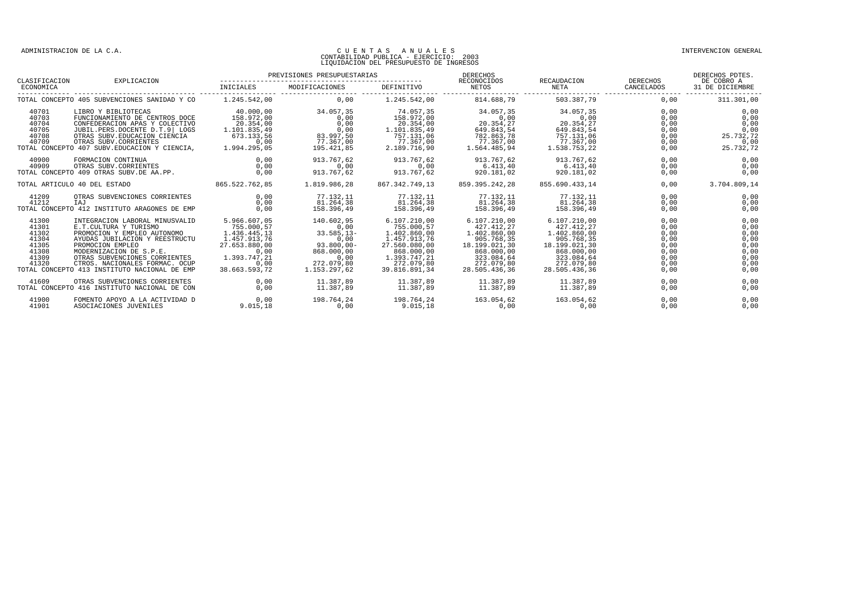| CLASIFICACION                                                        | EXPLICACION                                                                                                                                                                                                                                                                                |                                                                                                                              | PREVISIONES PRESUPUESTARIAS                                                                                      |                                                                                                                                          | DERECHOS<br>RECONOCIDOS                                                                                                              | RECAUDACION DERECHOS                                                                                                                 |                                                                      | DERECHOS PDTES.<br>DE COBRO A                                        |
|----------------------------------------------------------------------|--------------------------------------------------------------------------------------------------------------------------------------------------------------------------------------------------------------------------------------------------------------------------------------------|------------------------------------------------------------------------------------------------------------------------------|------------------------------------------------------------------------------------------------------------------|------------------------------------------------------------------------------------------------------------------------------------------|--------------------------------------------------------------------------------------------------------------------------------------|--------------------------------------------------------------------------------------------------------------------------------------|----------------------------------------------------------------------|----------------------------------------------------------------------|
| ECONOMICA                                                            |                                                                                                                                                                                                                                                                                            | INICIALES                                                                                                                    | MODIFICACIONES                                                                                                   | DEFINITIVO                                                                                                                               | NETOS                                                                                                                                | NETA                                                                                                                                 | CANCELADOS                                                           | 31 DE DICIEMBRE                                                      |
|                                                                      | TOTAL CONCEPTO 405 SUBVENCIONES SANIDAD Y CO                                                                                                                                                                                                                                               | 1,245,542,00                                                                                                                 | 0.00                                                                                                             | 1.245.542.00                                                                                                                             | 814.688.79                                                                                                                           | 503.387.79                                                                                                                           | 0.00                                                                 | 311.301,00                                                           |
| 40701<br>40703<br>40704<br>40705<br>40708<br>40709                   | LIBRO Y BIBLIOTECAS<br>FUNCIONAMIENTO DE CENTROS DOCE<br>CONFEDERACION APAS Y COLECTIVO<br>JUBIL.PERS.DOCENTE D.T.9 LOGS<br>OTRAS SUBV. EDUCACION CIENCIA<br>OTRAS SUBV. CORRIENTES<br>TOTAL CONCEPTO 407 SUBV. EDUCACION Y CIENCIA,                                                       | 40.000,00<br>158.972.00<br>20.354.00<br>1.101.835,49<br>673.133.56<br>0.00<br>1.994.295,05                                   | 34.057.35<br>0.00<br>0.00<br>0,00<br>83.997,50<br>77.367,00<br>195.421,85                                        | 74.057,35<br>158.972,00<br>20.354.00<br>1.101.835,49<br>757.131.06<br>77.367.00<br>2.189.716,90                                          | 34.057.35<br>0.00<br>20.354.27<br>649.843,54<br>782.863,78<br>77.367.00<br>1.564.485,94                                              | 34.057,35<br>0,00<br>20.354.27<br>649.843,54<br>757.131,06<br>77.367.00<br>1.538.753,22                                              | 0.00<br>0.00<br>0,00<br>0,00<br>0.00<br>0,00<br>0,00                 | 0,00<br>0.00<br>0.00<br>0,00<br>25.732,72<br>0,00<br>25.732,72       |
| 40900<br>40909                                                       | FORMACION CONTINUA<br>OTRAS SUBV.CORRIENTES<br>TOTAL CONCEPTO 409 OTRAS SUBV.DE AA.PP.                                                                                                                                                                                                     | 0.00<br>0.00<br>0.00                                                                                                         | 913.767.62<br>0.00<br>913.767.62                                                                                 | 913.767.62<br>0.00<br>913.767.62                                                                                                         | 913.767,62<br>6.413.40<br>920.181,02                                                                                                 | 913.767.62<br>6.413.40<br>920.181.02                                                                                                 | 0.00<br>0.00<br>0.00                                                 | 0,00<br>0.00<br>0.00                                                 |
|                                                                      | TOTAL ARTICULO 40 DEL ESTADO                                                                                                                                                                                                                                                               | 865.522.762,85                                                                                                               | 1.819.986.28                                                                                                     | 867.342.749,13                                                                                                                           | 859.395.242.28                                                                                                                       | 855.690.433.14                                                                                                                       | 0,00                                                                 | 3.704.809,14                                                         |
| 41209<br>41212                                                       | OTRAS SUBVENCIONES CORRIENTES<br>IAJ<br>TOTAL CONCEPTO 412 INSTITUTO ARAGONES DE EMP                                                                                                                                                                                                       | 0.00<br>0,00<br>0.00                                                                                                         | 77.132,11<br>81.264,38<br>158.396.49                                                                             | 77.132,11<br>81.264,38<br>158.396.49                                                                                                     | 77.132,11<br>81.264,38<br>158.396.49                                                                                                 | 77.132,11<br>81.264,38<br>158.396.49                                                                                                 | 0.00<br>0,00<br>0.00                                                 | 0,00<br>0,00<br>0,00                                                 |
| 41300<br>41301<br>41302<br>41304<br>41305<br>41308<br>41309<br>41320 | INTEGRACION LABORAL MINUSVALID<br>E.T.CULTURA Y TURISMO<br>PROMOCION Y EMPLEO AUTONOMO<br>AYUDAS JUBILACION Y REESTRUCTU<br>PROMOCION EMPLEO<br>MODERNIZACION DE S.P.E.<br>OTRAS SUBVENCIONES CORRIENTES<br>CTROS. NACIONALES FORMAC. OCUP<br>TOTAL CONCEPTO 413 INSTITUTO NACIONAL DE EMP | 5.966.607.05<br>755.000.57<br>1.436.445,13<br>1.457.913.76<br>27.653.880.00<br>0.00<br>1.393.747.21<br>0.00<br>38.663.593,72 | 140.602.95<br>0.00<br>$33.585, 13-$<br>0.00<br>$93.800.00 -$<br>868,000,00<br>0,00<br>272.079.80<br>1.153.297.62 | 6.107.210,00<br>755.000.57<br>1.402.860,00<br>1.457.913,76<br>27.560.080.00<br>868,000,00<br>1.393.747,21<br>272.079.80<br>39.816.891.34 | 6.107.210.00<br>427.412.27<br>1.402.860,00<br>905.768.35<br>18.199.021.30<br>868,000,00<br>323.084,64<br>272.079.80<br>28.505.436.36 | 6.107.210,00<br>427.412.27<br>1.402.860,00<br>905.768.35<br>18.199.021.30<br>868,000,00<br>323.084,64<br>272.079.80<br>28.505.436.36 | 0.00<br>0.00<br>0,00<br>0,00<br>0.00<br>0.00<br>0,00<br>0.00<br>0.00 | 0,00<br>0.00<br>0,00<br>0,00<br>0.00<br>0,00<br>0,00<br>0.00<br>0,00 |
| 41609                                                                | OTRAS SUBVENCIONES CORRIENTES<br>TOTAL CONCEPTO 416 INSTITUTO NACIONAL DE CON                                                                                                                                                                                                              | 0.00<br>0.00                                                                                                                 | 11.387.89<br>11.387.89                                                                                           | 11.387.89<br>11.387.89                                                                                                                   | 11.387.89<br>11.387.89                                                                                                               | 11.387.89<br>11.387.89                                                                                                               | 0.00<br>0.00                                                         | 0.00<br>0.00                                                         |
| 41900<br>41901                                                       | FOMENTO APOYO A LA ACTIVIDAD D<br>ASOCIACIONES JUVENILES                                                                                                                                                                                                                                   | 0.00<br>9.015.18                                                                                                             | 198.764.24<br>0.00                                                                                               | 198.764.24<br>9.015.18                                                                                                                   | 163.054.62<br>0.00                                                                                                                   | 163.054.62<br>0,00                                                                                                                   | 0.00<br>0.00                                                         | 0.00<br>0.00                                                         |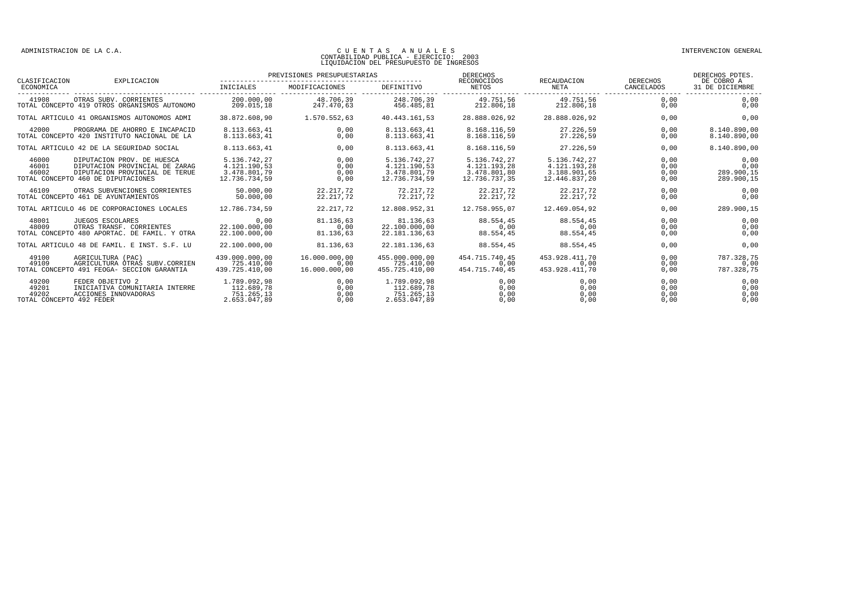| CLASIFICACION                                       | EXPLICACION                                                                                                                          |                                                               | PREVISIONES PRESUPUESTARIAS            |                                                               | DERECHOS<br>RECONOCIDOS                                       | RECAUDACION                                                   | DERECHOS                     | DERECHOS PDTES.<br>DE COBRO A            |
|-----------------------------------------------------|--------------------------------------------------------------------------------------------------------------------------------------|---------------------------------------------------------------|----------------------------------------|---------------------------------------------------------------|---------------------------------------------------------------|---------------------------------------------------------------|------------------------------|------------------------------------------|
| ECONOMICA                                           |                                                                                                                                      | INICIALES                                                     | MODIFICACIONES                         | <b>DEFINITIVO</b>                                             | <b>NETOS</b>                                                  | <b>NETA</b>                                                   | CANCELADOS                   | 31 DE DICIEMBRE                          |
| 41908                                               | OTRAS SUBV. CORRIENTES<br>TOTAL CONCEPTO 419 OTROS ORGANISMOS AUTONOMO                                                               | 200,000,00<br>209.015,18                                      | 48.706.39<br>247.470,63                | 248.706.39<br>456.485.81                                      | 49.751,56<br>212.806,18                                       | 49.751,56<br>212.806,18                                       | 0.00<br>0,00                 | 0.00<br>0,00                             |
|                                                     | TOTAL ARTICULO 41 ORGANISMOS AUTONOMOS ADMI                                                                                          | 38.872.608.90                                                 | 1.570.552,63                           | 40.443.161.53                                                 | 28.888.026.92                                                 | 28.888.026.92                                                 | 0,00                         | 0,00                                     |
| 42000                                               | PROGRAMA DE AHORRO E INCAPACID<br>TOTAL CONCEPTO 420 INSTITUTO NACIONAL DE LA                                                        | 8.113.663.41<br>8.113.663,41                                  | 0.00<br>0,00                           | 8.113.663.41<br>8.113.663,41                                  | 8.168.116.59<br>8.168.116,59                                  | 27.226,59<br>27.226,59                                        | 0.00<br>0,00                 | 8.140.890.00<br>8.140.890,00             |
|                                                     | TOTAL ARTICULO 42 DE LA SEGURIDAD SOCIAL                                                                                             | 8.113.663.41                                                  | 0.00                                   | 8.113.663.41                                                  | 8.168.116,59                                                  | 27.226.59                                                     | 0.00                         | 8.140.890,00                             |
| 46000<br>46001<br>46002                             | DIPUTACION PROV. DE HUESCA<br>DIPUTACION PROVINCIAL DE ZARAG<br>DIPUTACION PROVINCIAL DE TERUE<br>TOTAL CONCEPTO 460 DE DIPUTACIONES | 5.136.742,27<br>4.121.190,53<br>3.478.801,79<br>12.736.734,59 | 0.00<br>0.00<br>0.00<br>0.00           | 5.136.742,27<br>4.121.190,53<br>3.478.801,79<br>12.736.734,59 | 5.136.742,27<br>4.121.193,28<br>3.478.801,80<br>12.736.737.35 | 5.136.742,27<br>4.121.193,28<br>3.188.901,65<br>12.446.837,20 | 0.00<br>0,00<br>0,00<br>0,00 | 0,00<br>0,00<br>289.900,15<br>289.900,15 |
| 46109                                               | OTRAS SUBVENCIONES CORRIENTES<br>TOTAL CONCEPTO 461 DE AYUNTAMIENTOS                                                                 | 50.000,00<br>50.000.00                                        | 22.217,72<br>22.217,72                 | 72.217.72<br>72.217.72                                        | 22.217,72<br>22.217.72                                        | 22.217,72<br>22.217,72                                        | 0,00<br>0,00                 | 0,00<br>0,00                             |
|                                                     | TOTAL ARTICULO 46 DE CORPORACIONES LOCALES                                                                                           | 12.786.734.59                                                 | 22.217,72                              | 12.808.952,31                                                 | 12.758.955.07                                                 | 12.469.054.92                                                 | 0,00                         | 289.900,15                               |
| 48001<br>48009                                      | JUEGOS ESCOLARES<br>OTRAS TRANSF. CORRIENTES<br>TOTAL CONCEPTO 480 APORTAC. DE FAMIL. Y OTRA                                         | 0.00<br>22.100.000.00<br>22.100.000.00                        | 81.136.63<br>0.00<br>81.136.63         | 81.136.63<br>22.100.000.00<br>22.181.136.63                   | 88.554.45<br>0.00<br>88.554.45                                | 88.554.45<br>0,00<br>88.554.45                                | 0.00<br>0,00<br>0.00         | 0.00<br>0,00<br>0.00                     |
|                                                     | TOTAL ARTICULO 48 DE FAMIL. E INST. S.F. LU                                                                                          | 22.100.000.00                                                 | 81.136.63                              | 22.181.136,63                                                 | 88.554.45                                                     | 88.554.45                                                     | 0.00                         | 0,00                                     |
| 49100<br>49109                                      | AGRICULTURA (PAC)<br>AGRICULTURA OTRAS SUBV.CORRIEN<br>TOTAL CONCEPTO 491 FEOGA- SECCION GARANTIA                                    | 439,000,000,00<br>725.410.00<br>439.725.410.00                | 16,000,000,00<br>0.00<br>16,000,000,00 | 455.000.000.00<br>725.410.00<br>455.725.410.00                | 454.715.740.45<br>0.00<br>454.715.740.45                      | 453.928.411.70<br>0.00<br>453.928.411.70                      | 0.00<br>0.00<br>0.00         | 787.328.75<br>0.00<br>787.328,75         |
| 49200<br>49201<br>49202<br>TOTAL CONCEPTO 492 FEDER | FEDER OBJETIVO 2<br>INICIATIVA COMUNITARIA INTERRE<br>ACCIONES INNOVADORAS                                                           | 1.789.092.98<br>112.689.78<br>751.265.13<br>2.653.047.89      | 0.00<br>0.00<br>0,00<br>0.00           | 1.789.092.98<br>112.689.78<br>751.265.13<br>2.653.047.89      | 0.00<br>0.00<br>0,00<br>0.00                                  | 0.00<br>0,00<br>0,00<br>0.00                                  | 0.00<br>0.00<br>0,00<br>0,00 | 0.00<br>0.00<br>0,00<br>0,00             |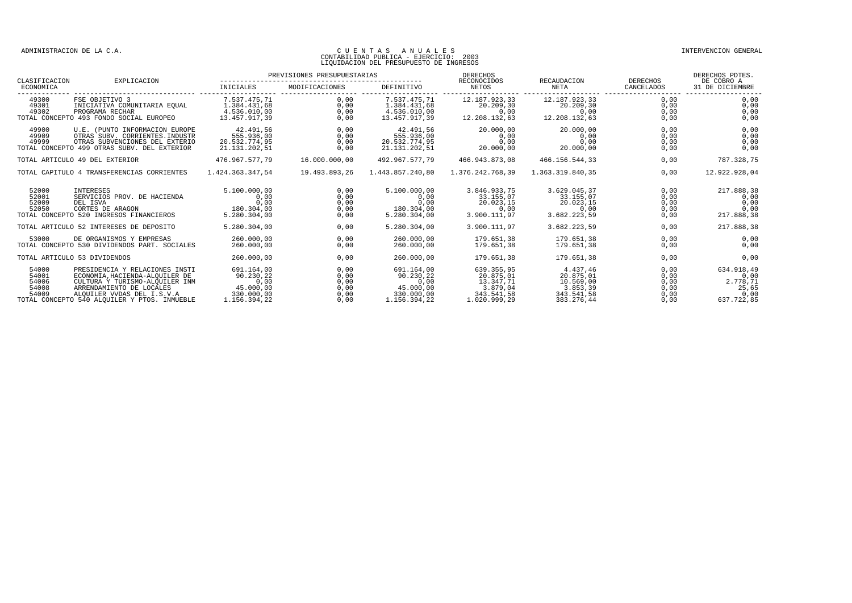| CLASIFICACION                             | EXPLICACION                                                                                                                                                                                                  | PREVISIONES PRESUPUESTARIAS                                                |                                              |                                                                            | DERECHOS<br>RECONOCIDOS                                                        | RECAUDACION                                                                | <b>DERECHOS</b>                              | DERECHOS PDTES.<br>DE COBRO A                                 |
|-------------------------------------------|--------------------------------------------------------------------------------------------------------------------------------------------------------------------------------------------------------------|----------------------------------------------------------------------------|----------------------------------------------|----------------------------------------------------------------------------|--------------------------------------------------------------------------------|----------------------------------------------------------------------------|----------------------------------------------|---------------------------------------------------------------|
| ECONOMICA                                 |                                                                                                                                                                                                              | INICIALES                                                                  | MODIFICACIONES                               | DEFINITIVO                                                                 | NETOS                                                                          | NETA                                                                       | CANCELADOS                                   | 31 DE DICIEMBRE                                               |
| 49300<br>49301<br>49302                   | FSE OBJETIVO 3<br>INICIATIVA COMUNITARIA EQUAL<br>PROGRAMA RECHAR<br>TOTAL CONCEPTO 493 FONDO SOCIAL EUROPEO                                                                                                 | 7.537.475,71<br>1.384.431,68<br>4.536.010,00<br>13.457.917,39              | 0,00<br>0.00<br>0,00<br>0,00                 | 7.537.475,71<br>1.384.431,68<br>4.536.010,00<br>13.457.917,39              | 12.187.923,33<br>20.209.30<br>0,00<br>12.208.132,63                            | 12.187.923,33<br>20.209,30<br>0,00<br>12.208.132,63                        | 0.00<br>0.00<br>0,00<br>0,00                 | 0.00<br>0.00<br>0,00<br>0,00                                  |
| 49900<br>49909<br>49999                   | U.E. (PUNTO INFORMACION EUROPE<br>OTRAS SUBV, CORRIENTES, INDUSTR<br>OTRAS SUBVENCIONES DEL EXTERIO<br>TOTAL CONCEPTO 499 OTRAS SUBV. DEL EXTERIOR                                                           | 42.491,56<br>555.936,00<br>20.532.774,95<br>21.131.202,51                  | 0,00<br>0,00<br>0,00<br>0.00                 | 42.491,56<br>555.936,00<br>20.532.774,95<br>21.131.202,51                  | 20.000,00<br>0,00<br>0,00<br>20.000,00                                         | 20.000,00<br>0,00<br>0,00<br>20.000,00                                     | 0,00<br>0,00<br>0,00<br>0,00                 | 0,00<br>0,00<br>0,00<br>0,00                                  |
|                                           | TOTAL ARTICULO 49 DEL EXTERIOR                                                                                                                                                                               | 476.967.577.79                                                             | 16,000,000,00                                | 492.967.577.79                                                             | 466.943.873,08                                                                 | 466.156.544,33                                                             | 0,00                                         | 787.328,75                                                    |
|                                           | TOTAL CAPITULO 4 TRANSFERENCIAS CORRIENTES                                                                                                                                                                   | 1.424.363.347.54                                                           | 19.493.893,26                                | 1.443.857.240.80                                                           | 1.376.242.768.39                                                               | 1.363.319.840.35                                                           | 0.00                                         | 12.922.928,04                                                 |
| 52000<br>52001<br>52009<br>52050          | INTERESES<br>SERVICIOS PROV. DE HACIENDA<br>DEL ISVA<br>CORTES DE ARAGON<br>TOTAL CONCEPTO 520 INGRESOS FINANCIEROS                                                                                          | 5.100.000.00<br>0,00<br>0.00<br>180.304,00<br>5.280.304.00                 | 0,00<br>0,00<br>0,00<br>0,00<br>0,00         | 5.100.000.00<br>0,00<br>0.00<br>180.304,00<br>5.280.304,00                 | 3.846.933.75<br>33.155.07<br>20.023.15<br>0,00<br>3.900.111,97                 | 3.629.045.37<br>33.155.07<br>20.023.15<br>0,00<br>3.682.223,59             | 0.00<br>0,00<br>0,00<br>0,00<br>0,00         | 217.888.38<br>0,00<br>0.00<br>0.00<br>217.888,38              |
|                                           | TOTAL ARTICULO 52 INTERESES DE DEPOSITO                                                                                                                                                                      | 5.280.304,00                                                               | 0,00                                         | 5.280.304,00                                                               | 3.900.111,97                                                                   | 3.682.223,59                                                               | 0,00                                         | 217.888,38                                                    |
| 53000                                     | DE ORGANISMOS Y EMPRESAS<br>TOTAL CONCEPTO 530 DIVIDENDOS PART. SOCIALES                                                                                                                                     | 260,000,00<br>260,000,00                                                   | 0.00<br>0,00                                 | 260,000,00<br>260,000,00                                                   | 179.651.38<br>179.651.38                                                       | 179.651.38<br>179.651.38                                                   | 0.00<br>0,00                                 | 0,00<br>0,00                                                  |
|                                           | TOTAL ARTICULO 53 DIVIDENDOS                                                                                                                                                                                 | 260,000,00                                                                 | 0.00                                         | 260,000,00                                                                 | 179.651.38                                                                     | 179.651.38                                                                 | 0.00                                         | 0,00                                                          |
| 54000<br>54001<br>54006<br>54008<br>54009 | PRESIDENCIA Y RELACIONES INSTI<br>ECONOMIA, HACIENDA-ALQUILER DE<br>CULTURA Y TURISMO-ALQUILER INM<br>ARRENDAMIENTO DE LOCALES<br>ALQUILER VVDAS DEL I.S.V.A<br>TOTAL CONCEPTO 540 ALOUILER Y PTOS. INMUEBLE | 691.164.00<br>90.230,22<br>0.00<br>45.000,00<br>330.000,00<br>1.156.394.22 | 0,00<br>0,00<br>0,00<br>0,00<br>0,00<br>0.00 | 691.164.00<br>90.230,22<br>0.00<br>45.000,00<br>330.000,00<br>1.156.394.22 | 639.355.95<br>20.875.01<br>13.347.71<br>3.879,04<br>343.541,58<br>1.020.999,29 | 4.437.46<br>20.875.01<br>10.569.00<br>3.853,39<br>343.541,58<br>383.276,44 | 0.00<br>0,00<br>0.00<br>0,00<br>0,00<br>0.00 | 634.918,49<br>0,00<br>2.778.71<br>25,65<br>0,00<br>637.722.85 |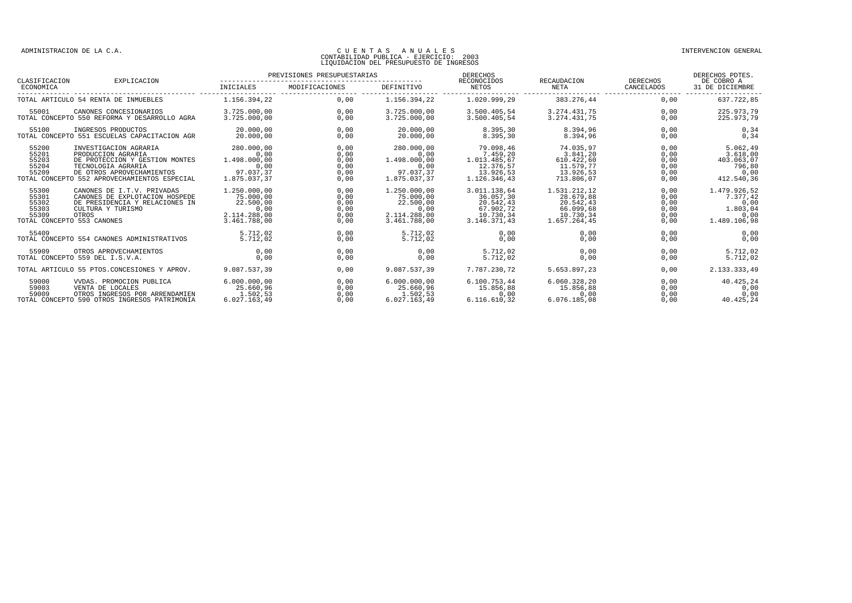| CLASIFICACION                             | EXPLICACION                                                                                                                                                                      | PREVISIONES PRESUPUESTARIAS                                                    |                                              |                                                                                | <b>DERECHOS</b><br>RECONOCIDOS                                                   | RECAUDACION                                                                      | <b>DERECHOS</b>                              | DERECHOS PDTES.<br>DE COBRO A                                        |
|-------------------------------------------|----------------------------------------------------------------------------------------------------------------------------------------------------------------------------------|--------------------------------------------------------------------------------|----------------------------------------------|--------------------------------------------------------------------------------|----------------------------------------------------------------------------------|----------------------------------------------------------------------------------|----------------------------------------------|----------------------------------------------------------------------|
| ECONOMICA                                 |                                                                                                                                                                                  | INICIALES                                                                      | MODIFICACIONES                               | <b>DEFINITIVO</b>                                                              | NETOS                                                                            | <b>NETA</b>                                                                      | CANCELADOS                                   | 31 DE DICIEMBRE                                                      |
|                                           | TOTAL ARTICULO 54 RENTA DE INMUEBLES                                                                                                                                             | 1.156.394.22                                                                   | 0.00                                         | 1.156.394.22                                                                   | 1.020.999.29                                                                     | 383.276,44                                                                       | 0.00                                         | 637.722.85                                                           |
| 55001                                     | CANONES CONCESTONARIOS<br>TOTAL CONCEPTO 550 REFORMA Y DESARROLLO AGRA                                                                                                           | 3.725.000.00<br>3.725.000.00                                                   | 0.00<br>0.00                                 | 3.725.000.00<br>3.725.000.00                                                   | 3.500.405.54<br>3.500.405.54                                                     | 3.274.431.75<br>3.274.431.75                                                     | 0.00<br>0.00                                 | 225.973.79<br>225.973,79                                             |
| 55100                                     | INGRESOS PRODUCTOS<br>TOTAL CONCEPTO 551 ESCUELAS CAPACITACION AGR                                                                                                               | 20,000,00<br>20,000,00                                                         | 0.00<br>0.00                                 | 20,000,00<br>20,000,00                                                         | 8.395,30<br>8.395.30                                                             | 8.394,96<br>8.394.96                                                             | 0.00<br>0.00                                 | 0, 34<br>0.34                                                        |
| 55200<br>55201<br>55203<br>55204<br>55209 | INVESTIGACION AGRARIA<br>PRODUCCION AGRARIA<br>DE PROTECCION Y GESTION MONTES<br>TECNOLOGIA AGRARIA<br>DE OTROS APROVECHAMIENTOS<br>TOTAL CONCEPTO 552 APROVECHAMIENTOS ESPECIAL | 280,000,00<br>0.00<br>1.498.000.00<br>0.00<br>97.037.37<br>1.875.037.37        | 0.00<br>0.00<br>0,00<br>0,00<br>0,00<br>0.00 | 280,000,00<br>0.00<br>1.498.000.00<br>0.00<br>97.037.37<br>1.875.037.37        | 79.098.46<br>7.459.20<br>1.013.485.67<br>12.376.57<br>13.926.53<br>1.126.346.43  | 74.035.97<br>3.841,20<br>610.422,60<br>11.579.77<br>13.926,53<br>713.806.07      | 0.00<br>0,00<br>0.00<br>0,00<br>0,00<br>0.00 | 5.062,49<br>3.618,00<br>403.063.07<br>796,80<br>0.00<br>412.540.36   |
| 55300<br>55301<br>55302<br>55303<br>55309 | CANONES DE I.T.V. PRIVADAS<br>CANONES DE EXPLOTACION HOSPEDE<br>DE PRESIDENCIA Y RELACIONES IN<br>CULTURA Y TURISMO<br>OTROS<br>TOTAL CONCEPTO 553 CANONES                       | 1,250,000,00<br>75,000,00<br>22.500.00<br>0,00<br>2.114.288.00<br>3.461.788.00 | 0,00<br>0,00<br>0,00<br>0,00<br>0,00<br>0.00 | 1,250,000,00<br>75.000,00<br>22.500,00<br>0,00<br>2.114.288,00<br>3.461.788.00 | 3.011.138,64<br>36.057.30<br>20.542,43<br>67.902.72<br>10.730.34<br>3.146.371.43 | 1.531.212,12<br>28.679,88<br>20.542,43<br>66.099,68<br>10.730,34<br>1.657.264.45 | 0,00<br>0,00<br>0,00<br>0,00<br>0,00<br>0.00 | 1.479.926,52<br>7.377.42<br>0,00<br>1.803,04<br>0,00<br>1.489.106,98 |
| 55409                                     | TOTAL CONCEPTO 554 CANONES ADMINISTRATIVOS                                                                                                                                       | 5.712.02<br>5.712,02                                                           | 0.00<br>0.00                                 | 5.712.02<br>5.712.02                                                           | 0.00<br>0.00                                                                     | 0.00<br>0.00                                                                     | 0.00<br>0.00                                 | 0,00<br>0.00                                                         |
| 55909                                     | OTROS APROVECHAMIENTOS<br>TOTAL CONCEPTO 559 DEL I.S.V.A.                                                                                                                        | 0.00<br>0.00                                                                   | 0.00<br>0.00                                 | 0.00<br>0.00                                                                   | 5.712.02<br>5.712.02                                                             | 0.00<br>0.00                                                                     | 0.00<br>0.00                                 | 5.712.02<br>5.712.02                                                 |
|                                           | TOTAL ARTICULO 55 PTOS.CONCESIONES Y APROV.                                                                                                                                      | 9.087.537.39                                                                   | 0,00                                         | 9.087.537,39                                                                   | 7.787.230,72                                                                     | 5.653.897,23                                                                     | 0,00                                         | 2.133.333,49                                                         |
| 59000<br>59003<br>59009                   | VVDAS. PROMOCION PUBLICA<br>VENTA DE LOCALES<br>OTROS INGRESOS POR ARRENDAMIEN<br>TOTAL CONCEPTO 590 OTROS INGRESOS PATRIMONIA                                                   | 6.000.000.00<br>25.660.96<br>1.502.53<br>6.027.163.49                          | 0.00<br>0,00<br>0,00<br>0.00                 | 6.000.000,00<br>25.660.96<br>1.502,53<br>6.027.163.49                          | 6.100.753.44<br>15.856,88<br>0,00<br>6.116.610,32                                | 6.060.328,20<br>15.856,88<br>0,00<br>6.076.185.08                                | 0.00<br>0,00<br>0,00<br>0.00                 | 40.425,24<br>0,00<br>0,00<br>40.425.24                               |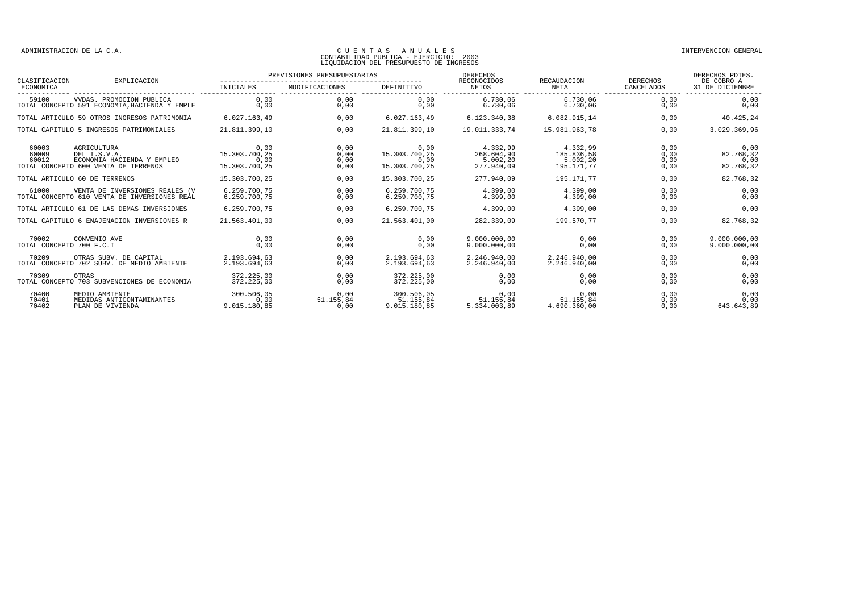|                                   | EXPLICACION                                                                                       | PREVISIONES PRESUPUESTARIAS                    |                              |                                                | <b>DERECHOS</b>                                  |                                                  |                              | DERECHOS PDTES.                        |
|-----------------------------------|---------------------------------------------------------------------------------------------------|------------------------------------------------|------------------------------|------------------------------------------------|--------------------------------------------------|--------------------------------------------------|------------------------------|----------------------------------------|
| CLASIFICACION<br>ECONOMICA        |                                                                                                   | <b>INICIALES</b>                               | MODIFICACIONES               | DEFINITIVO                                     | RECONOCIDOS<br><b>NETOS</b>                      | RECAUDACION<br><b>NETA</b>                       | DERECHOS<br>CANCELADOS       | DE COBRO A<br>31 DE DICIEMBRE          |
| 59100                             | VVDAS. PROMOCION PUBLICA<br>TOTAL CONCEPTO 591 ECONOMIA, HACIENDA Y EMPLE                         | 0.00<br>0.00                                   | 0.00<br>0,00                 | 0.00<br>0,00                                   | 6.730.06<br>6.730.06                             | 6.730.06<br>6.730.06                             | 0.00<br>0,00                 | 0,00<br>0,00                           |
|                                   | TOTAL ARTICULO 59 OTROS INGRESOS PATRIMONIA                                                       | 6.027.163.49                                   | 0.00                         | 6.027.163,49                                   | 6.123.340,38                                     | 6.082.915,14                                     | 0.00                         | 40.425,24                              |
|                                   | TOTAL CAPITULO 5 INGRESOS PATRIMONIALES                                                           | 21.811.399,10                                  | 0.00                         | 21.811.399,10                                  | 19.011.333,74                                    | 15.981.963,78                                    | 0,00                         | 3.029.369,96                           |
| 60003<br>60009<br>60012           | AGRICULTURA<br>DEL I.S.V.A.<br>ECONOMIA HACIENDA Y EMPLEO<br>TOTAL CONCEPTO 600 VENTA DE TERRENOS | 0,00<br>15.303.700.25<br>0.00<br>15.303.700,25 | 0,00<br>0,00<br>0.00<br>0,00 | 0.00<br>15.303.700,25<br>0.00<br>15.303.700,25 | 4.332,99<br>268.604,90<br>5.002.20<br>277.940.09 | 4.332,99<br>185.836,58<br>5.002.20<br>195.171,77 | 0,00<br>0,00<br>0,00<br>0,00 | 0,00<br>82.768,32<br>0,00<br>82.768,32 |
|                                   | TOTAL ARTICULO 60 DE TERRENOS                                                                     | 15.303.700,25                                  | 0.00                         | 15.303.700,25                                  | 277.940.09                                       | 195.171.77                                       | 0,00                         | 82.768,32                              |
| 61000                             | VENTA DE INVERSIONES REALES (V<br>TOTAL CONCEPTO 610 VENTA DE INVERSIONES REAL                    | 6.259.700.75<br>6.259.700.75                   | 0.00<br>0.00                 | 6.259.700.75<br>6.259.700,75                   | 4.399.00<br>4.399.00                             | 4.399.00<br>4.399.00                             | 0.00<br>0,00                 | 0,00<br>0,00                           |
|                                   | TOTAL ARTICULO 61 DE LAS DEMAS INVERSIONES                                                        | 6.259.700.75                                   | 0.00                         | 6.259.700.75                                   | 4.399.00                                         | 4.399.00                                         | 0,00                         | 0,00                                   |
|                                   | TOTAL CAPITULO 6 ENAJENACION INVERSIONES R                                                        | 21.563.401.00                                  | 0.00                         | 21.563.401.00                                  | 282.339.09                                       | 199.570.77                                       | 0.00                         | 82.768.32                              |
| 70002<br>TOTAL CONCEPTO 700 F.C.I | CONVENIO AVE                                                                                      | 0.00<br>0.00                                   | 0,00<br>0,00                 | 0.00<br>0.00                                   | 9.000.000.00<br>9.000.000,00                     | 0.00<br>0,00                                     | 0.00<br>0,00                 | 9.000.000.00<br>9.000.000,00           |
| 70209                             | OTRAS SUBV. DE CAPITAL<br>TOTAL CONCEPTO 702 SUBV. DE MEDIO AMBIENTE                              | 2.193.694.63<br>2.193.694.63                   | 0,00<br>0.00                 | 2.193.694,63<br>2.193.694.63                   | 2.246.940.00<br>2.246.940.00                     | 2.246.940.00<br>2.246.940.00                     | 0.00<br>0,00                 | 0,00<br>0,00                           |
| 70309                             | OTRAS<br>TOTAL CONCEPTO 703 SUBVENCIONES DE ECONOMIA                                              | 372.225,00<br>372.225.00                       | 0,00<br>0.00                 | 372.225,00<br>372.225,00                       | 0,00<br>0,00                                     | 0,00<br>0,00                                     | 0,00<br>0,00                 | 0,00<br>0,00                           |
| 70400<br>70401<br>70402           | MEDIO AMBIENTE<br>MEDIDAS ANTICONTAMINANTES<br>PLAN DE VIVIENDA                                   | 300.506,05<br>0.00<br>9.015.180.85             | 0.00<br>51.155.84<br>0.00    | 300.506,05<br>51.155.84<br>9.015.180,85        | 0.00<br>51.155.84<br>5.334.003.89                | 0.00<br>51.155.84<br>4.690.360,00                | 0,00<br>0,00<br>0,00         | 0,00<br>0,00<br>643.643,89             |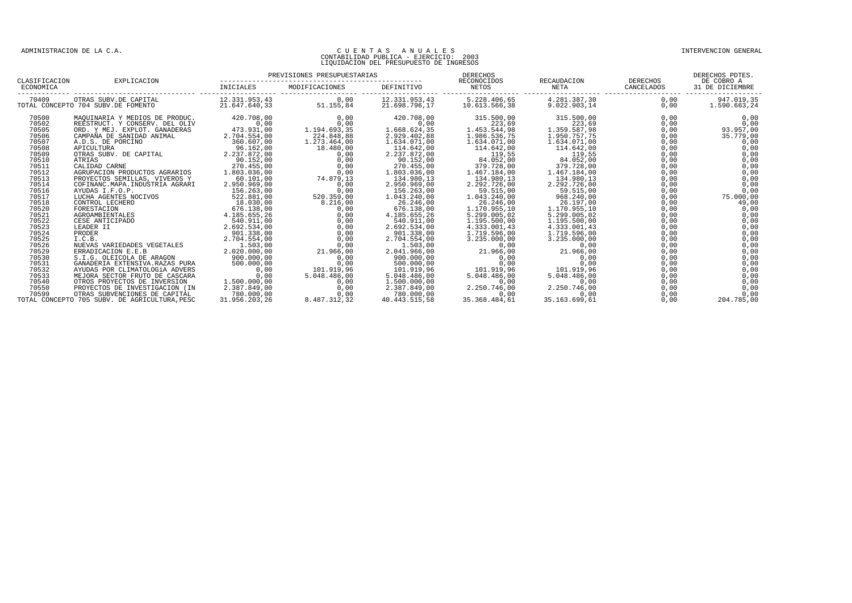| CLASIFICACION | EXPLICACION                                                 | PREVISIONES PRESUPUESTARIAS    |                   |                                | DERECHOS<br>RECONOCIDOS       | RECAUDACION                  | <b>DERECHOS</b> | DERECHOS PDTES.<br>DE COBRO A |
|---------------|-------------------------------------------------------------|--------------------------------|-------------------|--------------------------------|-------------------------------|------------------------------|-----------------|-------------------------------|
| ECONOMICA     |                                                             | <b>INICIALES</b>               | MODIFICACIONES    | DEFINITIVO                     | <b>NETOS</b>                  | <b>NETA</b>                  | CANCELADOS      | 31 DE DICIEMBRE               |
| 70409         | OTRAS SUBV.DE CAPITAL<br>TOTAL CONCEPTO 704 SUBV.DE FOMENTO | 12.331.953,43<br>21.647.640.33 | 0,00<br>51.155,84 | 12.331.953,43<br>21.698.796,17 | 5.228.406,65<br>10.613.566,38 | 4.281.387,30<br>9.022.903,14 | 0,00<br>0,00    | 947.019,35<br>1.590.663,24    |
| 70500         | MAQUINARIA Y MEDIOS DE PRODUC.                              | 420.708,00                     | 0,00              | 420.708,00                     | 315.500,00                    | 315.500,00                   | 0,00            | 0,00                          |
| 70502         | REESTRUCT. Y CONSERV. DEL OLIV                              | 0,00                           | 0,00              | 0,00                           | 223,69                        | 223,69                       | 0,00            | 0,00                          |
| 70505         | ORD. Y MEJ. EXPLOT. GANADERAS                               | 473.931,00                     | 1.194.693,35      | 1.668.624,35                   | 1.453.544,98                  | 1.359.587,98                 | 0,00            | 93.957,00                     |
| 70506         | CAMPAÑA DE SANIDAD ANIMAL                                   | 2.704.554,00                   | 224.848,88        | 2.929.402,88                   | 1.986.536,75                  | 1.950.757.75                 | 0,00            | 35.779,00                     |
| 70507         | A.D.S. DE PORCINO                                           | 360.607,00                     | 1.273.464,00      | 1.634.071,00                   | 1.634.071,00                  | 1.634.071,00                 | 0,00            | 0,00                          |
| 70508         | APICULTURA                                                  | 96.162,00                      | 18.480,00         | 114.642,00                     | 114.642,00                    | 114.642,00                   | 0,00            | 0,00                          |
| 70509         | OTRAS SUBV. DE CAPITAL                                      | 2.237.872,00                   | 0,00              | 2.237.872,00                   | 119,55                        | 119,55                       | 0,00            | 0,00                          |
| 70510         | ATRIAS                                                      | 90.152,00                      | 0.00              | 90.152,00                      | 84.052,00                     | 84.052,00                    | 0,00            | 0,00                          |
| 70511         | CALIDAD CARNE                                               | 270.455,00                     | 0,00              | 270.455,00                     | 379.728,00                    | 379.728,00                   | 0,00            | 0,00                          |
| 70512         | AGRUPACION PRODUCTOS AGRARIOS                               | 1.803.036,00                   | 0,00              | 1.803.036,00                   | 1.467.184,00                  | 1.467.184,00                 | 0,00            | 0,00                          |
| 70513         | PROYECTOS SEMILLAS, VIVEROS Y                               | 60.101,00                      | 74.879,13         | 134.980,13                     | 134.980,13                    | 134.980,13                   | 0,00            | 0,00                          |
| 70514         | COFINANC. MAPA. INDUSTRIA AGRARI                            | 2.950.969,00                   | 0,00              | 2.950.969,00                   | 2.292.726,00                  | 2.292.726,00                 | 0,00            | 0,00                          |
| 70516         | AYUDAS I.F.O.P.                                             | 156.263,00                     | 0,00              | 156.263,00                     | 59.515,00                     | 59.515,00                    | 0,00            | 0,00                          |
| 70517         | LUCHA AGENTES NOCIVOS                                       | 522.881,00                     | 520.359,00        | 1.043.240,00                   | 1.043.240,00                  | 968.240,00                   | 0,00            | 75.000,00                     |
| 70518         | CONTROL LECHERO                                             | 18.030,00                      | 8.216,00          | 26.246,00                      | 26.246,00                     | 26.197,00                    | 0,00            | 49,00                         |
| 70520         | FORESTACION                                                 | 676.138,00                     | 0,00              | 676.138,00                     | 1.170.955,10                  | 1.170.955,10                 | 0,00            | 0,00                          |
| 70521         | AGROAMBIENTALES                                             | 4.185.655,26                   | 0,00              | 4.185.655,26                   | 5.299.005,02                  | 5.299.005,02                 | 0,00            | 0,00                          |
| 70522         | CESE ANTICIPADO                                             | 540.911,00                     | 0,00              | 540.911,00                     | 1.195.500,00                  | 1.195.500,00                 | 0,00            | 0,00                          |
| 70523         | LEADER II                                                   | 2.692.534.00                   | 0,00              | 2.692.534.00                   | 4.333.001.43                  | 4.333.001.43                 | 0,00            | 0,00                          |
| 70524         | PRODER                                                      | 901.338.00                     | 0,00              | 901.338.00                     | 1.719.596.00                  | 1.719.596.00                 | 0,00            | 0,00                          |
| 70525         | I.C.B.                                                      | 2.704.554.00                   | 0.00              | 2.704.554.00                   | 3.235.000.00                  | 3.235.000.00                 | 0,00            | 0,00                          |
| 70526         | NUEVAS VARIEDADES VEGETALES                                 | 1.503,00                       | 0.00              | 1.503.00                       | 0,00                          | 0,00                         | 0,00            | 0,00                          |
| 70529         | ERRADICACION E.E.B                                          | 2.020.000.00                   | 21.966,00         | 2.041.966.00                   | 21.966,00                     | 21.966,00                    | 0,00            | 0,00                          |
| 70530         | S.I.G. OLEICOLA DE ARAGON                                   | 900.000.00                     | 0.00              | 900.000,00                     | 0.00                          | 0.00                         | 0,00            | 0,00                          |
| 70531         | GANADERIA EXTENSIVA.RAZAS PURA                              | 500.000.00                     | 0.00              | 500.000,00                     | 0.00                          | 0.00                         | 0.00            | 0,00                          |
| 70532         | AYUDAS POR CLIMATOLOGÍA ADVERS                              | 0.00                           | 101.919,96        | 101.919,96                     | 101.919,96                    | 101.919,96                   | 0.00            | 0,00                          |
| 70533         | MEJORA SECTOR FRUTO DE CASCARA                              | 0.00                           | 5.048.486.00      | 5.048.486,00                   | 5.048.486.00                  | 5.048.486,00                 | 0,00            | 0,00                          |
| 70540         | OTROS PROYECTOS DE INVERSION                                | 1.500.000.00                   | 0,00              | 1,500,000,00                   | 0.00                          | 0.00                         | 0,00            | 0,00                          |
| 70550         | PROYECTOS DE INVESTIGACION (IN                              | 2.387.849,00                   | 0,00              | 2.387.849,00                   | 2.250.746,00                  | 2.250.746,00                 | 0,00            | 0,00                          |
| 70599         | OTRAS SUBVENCIONES DE CAPITAL                               | 780,000,00                     | 0.00              | 780,000,00                     | 0.00                          | 0,00                         | 0,00            | 0,00                          |
|               | TOTAL CONCEPTO 705 SUBV. DE AGRICULTURA.PESC                | 31.956.203.26                  | 8.487.312,32      | 40.443.515.58                  | 35.368.484.61                 | 35.163.699.61                | 0.00            | 204.785,00                    |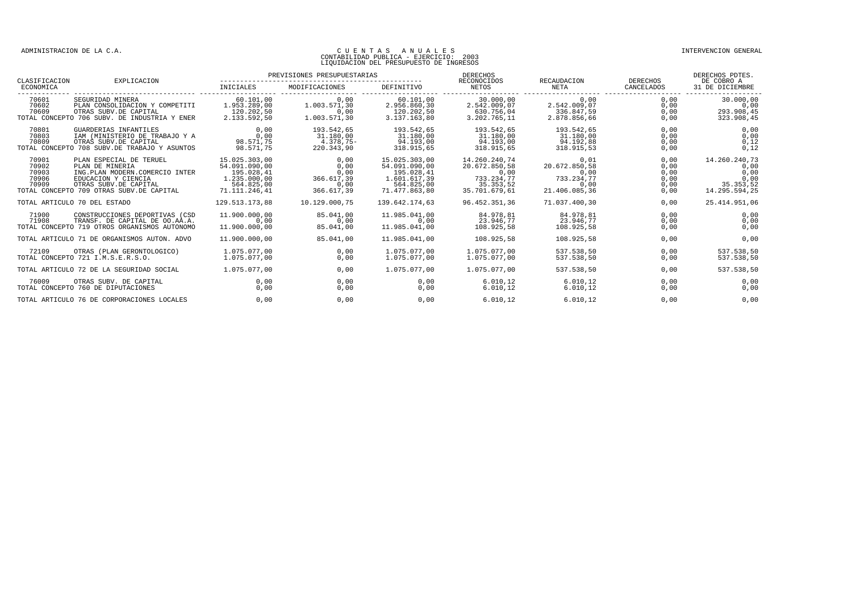#### CONTABILIDAD PUBLICA - EJERCICIO: 2003 LIQUIDACION DEL PRESUPUESTO DE INGRESOS

PREVISIONES PRESUPUESTARIAS DERECHOS DERECHOS PDTES. CLASIFICACION EXPLICACION -------------------------------------------------- RECONOCIDOS RECAUDACION DERECHOS DE COBRO A ECONOMICA INICIALES MODIFICACIONES DEFINITIVO NETOS NETA CANCELADOS 31 DE DICIEMBRE ------------- ------------------------------ ------------------- ------------------- ------------------- ------------------- ------------------- ------------------- ------------------- 70601 SEGURIDAD MINERA 60.101,00 0,00 60.101,00 30.000,00 0,00 0,00 30.000,00 70602 PLAN CONSOLIDACION Y COMPETITI 1.953.289,00 1.003.571,30 2.956.860,30 2.542.009,07 2.542.009,07 0,00 0,00 70609 OTRAS SUBV.DE CAPITAL 120.202,50 0,00 120.202,50 630.756,04 336.847,59 0,00 293.908,45 TOTAL CONCEPTO 706 SUBV. DE INDUSTRIA Y ENER 2.133.592,50 1.003.571,30 3.137.163,80 3.202.765,11 2.878.856,66 0,00 323.908,45 70801 GUARDERIAS INFANTILES 0,00 193.542,65 193.542,65 193.542,65 193.542,65 0,00 0,00 70803 IAM (MINISTERIO DE TRABAJO Y A 0,00 31.180,00 31.180,00 31.180,00 31.180,00 0,00 0,00 70809 OTRAS SUBV.DE CAPITAL 98.571,75 4.378,75- 94.193,00 94.193,00 94.192,88 0,00 0,12 TOTAL CONCEPTO 708 SUBV.DE TRABAJO Y ASUNTOS 98.571,75 220.343,90 318.915,65 318.915,65 318.915,53 0,00 0,12  $\begin{array}{cccccccc} 70901 & \text{PLAN ESPECTAL DE TERUE} & 15.025.303,00 & 0,00 & 15.025.303,00 & 0,00 & 0,00 & 0,00 & 0,00 & 0,00 & 0,00 & 0,00 & 0,00 & 0,00 & 0,00 & 0,00 & 0,00 & 0,00 & 0,00 & 0,00 & 0,00 & 0,00 & 0,00 & 0,00 & 0,00 & 0,00 & 0,00 & 0,00 & 0,00 & 0,00 & 0,00 &$ TOTAL ARTICULO 70 DEL ESTADO 129.513.173,88 10.129.000,75 139.642.174,63 96.452.351,36 71.037.400,30 0,00 25.414.951,06 71900 CONSTRUCCIONES DEPORTIVAS (CSD 11.900.000,00 85.041,00 11.985.041,00 84.978,81 84.978,81 0,00 0,00 71908 TRANSF. DE CAPITAL DE OO.AA.A. 0,00 0,00 0,00 23.946,77 23.946,77 0,00 0,00 TOTAL CONCEPTO 719 OTROS ORGANISMOS AUTONOMO 11.900.000,00 85.041,00 11.985.041,00 108.925,58 108.925,58 0,00 0,00 TOTAL ARTICULO 71 DE ORGANISMOS AUTON. ADVO 11.900.000,00 85.041,00 11.985.041,00 108.925,58 108.925,58 0,00 0,00 72109 OTRAS (PLAN GERONTOLOGICO) 1.075.077,00 0,00 1.075.077,00 1.075.077,00 537.538,50 0,00 537.538,50<br>1.075.077.00 1.075.077.00 0.00 1.075.077.00 1.075.077.00 537.538.50 0.00 537.538.50 TOTAL CONCEPTO 721 I.M.S.E.R.S.O. TOTAL ARTICULO 72 DE LA SEGURIDAD SOCIAL 1.075.077,00 0,00 1.075.077,00 1.075.077,00 537.538,50 0,00 537.538,50 76009 OTRAS SUBV. DE CAPITAL 0,00 0,00 0,00 6.010,12 6.010,12 0,00 0,00 TOTAL CONCEPTO 760 DE DIPUTACIONES 0,00 0,00 0,00 6.010,12 6.010,12 0,00 0,00 TOTAL ARTICULO 76 DE CORPORACIONES LOCALES 0,00 0,00 0,00 6.010,12 6.010,12 0,00 0,00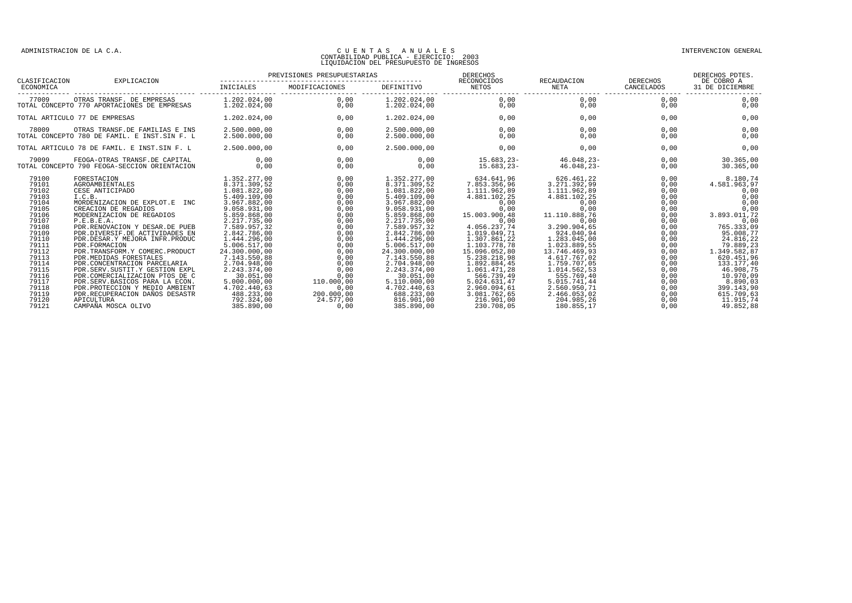| CLASIFICACION                                                                                                                                         | EXPLICACION                                                                                                                                                                                                                                                                                                                                                                                                                                                 | PREVISIONES PRESUPUESTARIAS                                                                                                                                                                                                                                                |                                                                                                                                      |                                                                                                                                                                                                                                                                            | DERECHOS<br>RECONOCIDOS                                                                                                                                                                                                                            | RECAUDACION                                                                                                                                                                                                                                      |                                                                                                                                      | DERECHOS PDTES.<br>DERECHOS<br>DE COBRO A                                                                                                                                                                   |  |
|-------------------------------------------------------------------------------------------------------------------------------------------------------|-------------------------------------------------------------------------------------------------------------------------------------------------------------------------------------------------------------------------------------------------------------------------------------------------------------------------------------------------------------------------------------------------------------------------------------------------------------|----------------------------------------------------------------------------------------------------------------------------------------------------------------------------------------------------------------------------------------------------------------------------|--------------------------------------------------------------------------------------------------------------------------------------|----------------------------------------------------------------------------------------------------------------------------------------------------------------------------------------------------------------------------------------------------------------------------|----------------------------------------------------------------------------------------------------------------------------------------------------------------------------------------------------------------------------------------------------|--------------------------------------------------------------------------------------------------------------------------------------------------------------------------------------------------------------------------------------------------|--------------------------------------------------------------------------------------------------------------------------------------|-------------------------------------------------------------------------------------------------------------------------------------------------------------------------------------------------------------|--|
| ECONOMICA                                                                                                                                             |                                                                                                                                                                                                                                                                                                                                                                                                                                                             | INICIALES                                                                                                                                                                                                                                                                  | MODIFICACIONES                                                                                                                       | DEFINITIVO                                                                                                                                                                                                                                                                 | NETOS                                                                                                                                                                                                                                              | NETA                                                                                                                                                                                                                                             | CANCELADOS                                                                                                                           | 31 DE DICIEMBRE                                                                                                                                                                                             |  |
| 77009                                                                                                                                                 | OTRAS TRANSF. DE EMPRESAS<br>TOTAL CONCEPTO 770 APORTACIONES DE EMPRESAS                                                                                                                                                                                                                                                                                                                                                                                    | 1.202.024.00<br>1,202,024,00                                                                                                                                                                                                                                               | 0.00<br>0.00                                                                                                                         | 1.202.024.00<br>1,202,024,00                                                                                                                                                                                                                                               | 0.00<br>0.00                                                                                                                                                                                                                                       | 0.00<br>0,00                                                                                                                                                                                                                                     | 0.00<br>0.00                                                                                                                         | 0.00<br>0,00                                                                                                                                                                                                |  |
|                                                                                                                                                       | TOTAL ARTICULO 77 DE EMPRESAS                                                                                                                                                                                                                                                                                                                                                                                                                               | 1.202.024.00                                                                                                                                                                                                                                                               | 0.00                                                                                                                                 | 1.202.024,00                                                                                                                                                                                                                                                               | 0,00                                                                                                                                                                                                                                               | 0.00                                                                                                                                                                                                                                             | 0.00                                                                                                                                 | 0,00                                                                                                                                                                                                        |  |
| 78009                                                                                                                                                 | OTRAS TRANSF.DE FAMILIAS E INS<br>TOTAL CONCEPTO 780 DE FAMIL. E INST.SIN F. L                                                                                                                                                                                                                                                                                                                                                                              | 2.500.000,00<br>2.500.000.00                                                                                                                                                                                                                                               | 0,00<br>0.00                                                                                                                         | 2.500.000,00<br>2.500.000,00                                                                                                                                                                                                                                               | 0,00<br>0.00                                                                                                                                                                                                                                       | 0,00<br>0,00                                                                                                                                                                                                                                     | 0,00<br>0.00                                                                                                                         | 0,00<br>0,00                                                                                                                                                                                                |  |
|                                                                                                                                                       | TOTAL ARTICULO 78 DE FAMIL. E INST.SIN F. L                                                                                                                                                                                                                                                                                                                                                                                                                 | 2.500.000.00                                                                                                                                                                                                                                                               | 0.00                                                                                                                                 | 2.500.000,00                                                                                                                                                                                                                                                               | 0,00                                                                                                                                                                                                                                               | 0.00                                                                                                                                                                                                                                             | 0.00                                                                                                                                 | 0,00                                                                                                                                                                                                        |  |
| 79099                                                                                                                                                 | FEOGA-OTRAS TRANSF.DE CAPITAL<br>TOTAL CONCEPTO 790 FEOGA-SECCION ORIENTACION                                                                                                                                                                                                                                                                                                                                                                               | 0,00<br>0.00                                                                                                                                                                                                                                                               | 0,00<br>0.00                                                                                                                         | 0,00<br>0.00                                                                                                                                                                                                                                                               | 15.683,23-<br>$15.683.23 -$                                                                                                                                                                                                                        | $46.048, 23 -$<br>$46.048.23 -$                                                                                                                                                                                                                  | 0,00<br>0.00                                                                                                                         | 30.365,00<br>30.365.00                                                                                                                                                                                      |  |
| 79100<br>79101<br>79102<br>79103<br>79104<br>79105<br>79106<br>79107<br>79108<br>79109<br>79110<br>79111<br>79112<br>79113<br>79114<br>79115<br>79116 | FORESTACION<br>AGROAMBIENTALES<br>CESE ANTICIPADO<br>I.C.B.<br>MORDENIZACION DE EXPLOT.E INC<br>CREACION DE REGADIOS<br>MODERNIZACION DE REGADIOS<br>P.E.B.E.A.<br>PDR.RENOVACION Y DESAR.DE PUEB<br>PDR.DIVERSIF.DE ACTIVIDADES EN<br>PDR.DESAR.Y MEJORA INFR.PRODUC<br>PDR. FORMACION<br>PDR.TRANSFORM.Y COMERC.PRODUCT<br>PDR. MEDIDAS FORESTALES<br>PDR.CONCENTRACION PARCELARIA<br>PDR. SERV. SUSTIT. Y GESTION EXPL<br>PDR.COMERCIALIZACION PTOS DE C | 1.352.277,00<br>8.371.309,52<br>1.081.822,00<br>5.409.109,00<br>3.967.882,00<br>9.058.931,00<br>5.859.868.00<br>2.217.735,00<br>7.589.957,32<br>2.842.786,00<br>1.444.296,00<br>5.006.517,00<br>24.300.000,00<br>7.143.550,88<br>2.704.948,00<br>2.243.374,00<br>30.051,00 | 0.00<br>0,00<br>0,00<br>0,00<br>0,00<br>0,00<br>0,00<br>0,00<br>0,00<br>0.00<br>0,00<br>0,00<br>0,00<br>0,00<br>0,00<br>0,00<br>0,00 | 1.352.277,00<br>8.371.309,52<br>1.081.822,00<br>5.409.109,00<br>3.967.882,00<br>9.058.931,00<br>5.859.868,00<br>2.217.735,00<br>7.589.957,32<br>2.842.786,00<br>1.444.296,00<br>5.006.517,00<br>24.300.000,00<br>7.143.550,88<br>2.704.948,00<br>2.243.374.00<br>30.051,00 | 634.641,96<br>7.853.356,96<br>1.111.962.89<br>4.881.102,25<br>0,00<br>0,00<br>15.003.900,48<br>0,00<br>4.056.237,74<br>1.019.049,71<br>1.307.861,22<br>1.103.778,78<br>15.096.052,80<br>5.238.218,98<br>1.892.884,45<br>1.061.471.28<br>566.739,49 | 626.461,22<br>3.271.392,99<br>1.111.962,89<br>4.881.102,25<br>0,00<br>0,00<br>11.110.888,76<br>0,00<br>3.290.904,65<br>924.040,94<br>1.283.045,00<br>1.023.889,55<br>13.746.469,93<br>4.617.767,02<br>1.759.707.05<br>1.014.562.53<br>555.769,40 | 0.00<br>0,00<br>0,00<br>0,00<br>0,00<br>0,00<br>0,00<br>0,00<br>0,00<br>0.00<br>0,00<br>0,00<br>0,00<br>0,00<br>0,00<br>0,00<br>0,00 | 8.180,74<br>4.581.963,97<br>0,00<br>0,00<br>0,00<br>0,00<br>3.893.011,72<br>0,00<br>765.333,09<br>95.008,77<br>24.816,22<br>79.889,23<br>1.349.582,87<br>620.451,96<br>133.177,40<br>46.908,75<br>10.970,09 |  |
| 79117<br>79118<br>79119<br>79120<br>79121                                                                                                             | PDR.SERV.BASICOS PARA LA ECON.<br>PDR. PROTECCION Y MEDIO AMBIENT<br>PDR. RECUPERACION DAÑOS DESASTR<br>APICULTURA<br>CAMPAÑA MOSCA OLIVO                                                                                                                                                                                                                                                                                                                   | 5.000.000,00<br>4.702.440,63<br>488.233,00<br>792.324,00<br>385.890,00                                                                                                                                                                                                     | 110.000,00<br>0,00<br>200.000,00<br>24.577.00<br>0.00                                                                                | 5.110.000,00<br>4.702.440,63<br>688.233,00<br>816.901.00<br>385.890,00                                                                                                                                                                                                     | 5.024.631,47<br>2.960.094,61<br>3.081.762,65<br>216.901.00<br>230.708,05                                                                                                                                                                           | 5.015.741,44<br>2.560.950,71<br>2.466.053,02<br>204.985.26<br>180.855,17                                                                                                                                                                         | 0,00<br>0,00<br>0,00<br>0,00<br>0,00                                                                                                 | 8.890,03<br>399.143,90<br>615.709,63<br>11.915,74<br>49.852,88                                                                                                                                              |  |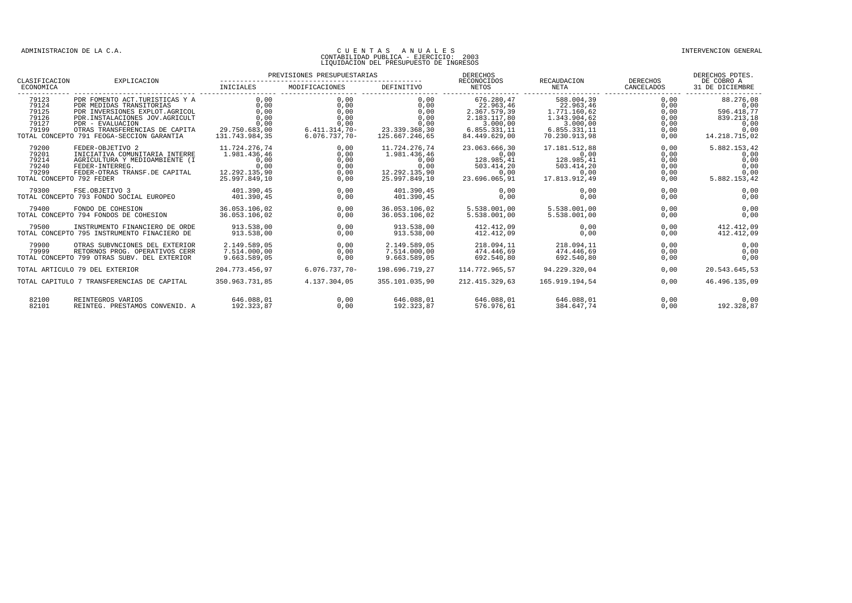#### CONTABILIDAD PUBLICA - EJERCICIO: 2003 LIQUIDACION DEL PRESUPUESTO DE INGRESOS

PREVISIONES PRESUPUESTARIAS DERECHOS DERECHOS PDTES. CLASIFICACION EXPLICACION -------------------------------------------------- RECONOCIDOS RECAUDACION DERECHOS DE COBRO A ECONOMICA INICIALES MODIFICACIONES DEFINITIVO NETOS NETA CANCELADOS 31 DE DICIEMBRE  $\begin{array}{cccccccc} \texttt{79123} & \texttt{PDF FOWENTO ACT. TURISTICAS} & \texttt{PDR NEDIDAS TRANSITORICS} & \texttt{RANSION} & \texttt{0,00} & \texttt{0,00} & \texttt{0,00} & \texttt{0,00} & \texttt{0,00} & \texttt{0,00} & \texttt{0,00} & \texttt{0,00} & \texttt{0,00} & \texttt{0,00} & \texttt{0,00} & \texttt{0,00} & \texttt{0,00} & \texttt{0,00} & \texttt{0,00} & \texttt{0,00}$  $\begin{array}{cccccccc} 79200 & \text{FEDER}-\text{OBJETIVO} & 11.724.276,74 & 0,00 & 11.724.276,74 & 0.00 & 11.724.276,74 & 0.00 & 0.00 & 0.00 & 0.00 & 0.00 & 0.00 & 0.00 & 0.00 & 0.00 & 0.00 & 0.00 & 0.00 & 0.00 & 0.00 & 0.00 & 0.00 & 0.00 & 0.00 & 0.00 & 0.00 & 0.00 & 0.00 &$ 79300 FSE.OBJETIVO 3 401.390,45 0,00 401.390,45 0,00 0,00 0,00 0,00 TOTAL CONCEPTO 793 FONDO SOCIAL EUROPEO 401.390,45 0,00 401.390,45 0,00 0,00 0,00 0,00 79400 FONDO DE COHESION 36.053.106,02 0,00 36.053.106,02 5.538.001,00 5.538.001,00 0,00 0,00 TOTAL CONCEPTO 794 FONDOS DE COHESION 36.053.106,02 0,00 36.053.106,02 5.538.001,00 5.538.001,00 0,00 0,00 79500 INSTRUMENTO FINANCIERO DE ORDE 913.538,00 0,00 913.538,00 412.412,09 0,00 0,00 412.412,09 TOTAL CONCEPTO 795 INSTRUMENTO FINACIERO DE 79900 OTRAS SUBVNCIONES DEL EXTERIOR 2.149.589,05 0,00 2.149.589,05 218.094,11 218.094,11 0,00 0,00 79999 RETORNOS PROG. OPERATIVOS CERR 7.514.000,00 0,00 7.514.000,00 474.446,69 474.446,69 0,00 0,00 79900 OTRAS SUBVNCIONES DEL EXTERIOR 2.149.589,05 0,00 2.149.589,05 218.094,11 218.094,11 0,00 0,00 0,00<br>79999 RETORNOS PROG. OPERATIVOS CERR 7.514.000,00 0,00 7.514.000,00 474.446,69 474.446,69 0,00<br>707AL CONCEPTO 799 OTR TOTAL ARTICULO 79 DEL EXTERIOR 204.773.456,97 6.076.737,70- 198.696.719,27 114.772.965,57 94.229.320,04 0,00 20.543.645,53 TOTAL CAPITULO 7 TRANSFERENCIAS DE CAPITAL 350.963.731,85 4.137.304,05 355.101.035,90 212.415.329,63 165.919.194,54 0,00 46.496.135,09 82100 REINTEGROS VARIOS (1990), 2006), 2006 646.088,01 (1991), 2006 646.088,01 646.088,01 646.088,01 646.088,0<br>82101 REINTEG, PRESTAMOS CONVENID, A 192,323,87 (2006), 2006 192,323,87 576,976,61 384.647.74 (2006), 2006), 2 821111 REINTEGROP VIRTOP<br>REINTEG. PRESTAMOS CONVENID. A